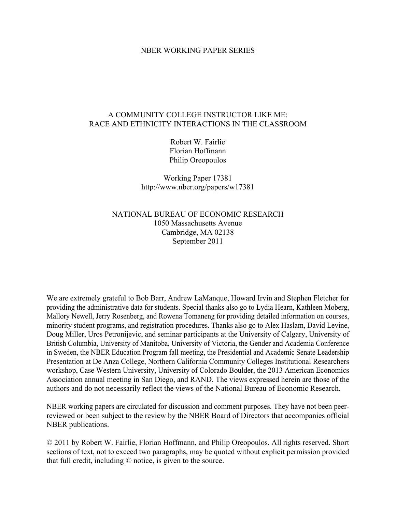### NBER WORKING PAPER SERIES

## A COMMUNITY COLLEGE INSTRUCTOR LIKE ME: RACE AND ETHNICITY INTERACTIONS IN THE CLASSROOM

Robert W. Fairlie Florian Hoffmann Philip Oreopoulos

Working Paper 17381 http://www.nber.org/papers/w17381

# NATIONAL BUREAU OF ECONOMIC RESEARCH 1050 Massachusetts Avenue Cambridge, MA 02138 September 2011

We are extremely grateful to Bob Barr, Andrew LaManque, Howard Irvin and Stephen Fletcher for providing the administrative data for students. Special thanks also go to Lydia Hearn, Kathleen Moberg, Mallory Newell, Jerry Rosenberg, and Rowena Tomaneng for providing detailed information on courses, minority student programs, and registration procedures. Thanks also go to Alex Haslam, David Levine, Doug Miller, Uros Petronijevic, and seminar participants at the University of Calgary, University of British Columbia, University of Manitoba, University of Victoria, the Gender and Academia Conference in Sweden, the NBER Education Program fall meeting, the Presidential and Academic Senate Leadership Presentation at De Anza College, Northern California Community Colleges Institutional Researchers workshop, Case Western University, University of Colorado Boulder, the 2013 American Economics Association annual meeting in San Diego, and RAND. The views expressed herein are those of the authors and do not necessarily reflect the views of the National Bureau of Economic Research.

NBER working papers are circulated for discussion and comment purposes. They have not been peerreviewed or been subject to the review by the NBER Board of Directors that accompanies official NBER publications.

© 2011 by Robert W. Fairlie, Florian Hoffmann, and Philip Oreopoulos. All rights reserved. Short sections of text, not to exceed two paragraphs, may be quoted without explicit permission provided that full credit, including © notice, is given to the source.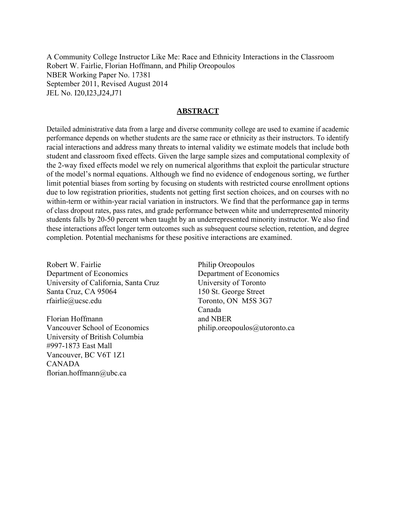A Community College Instructor Like Me: Race and Ethnicity Interactions in the Classroom Robert W. Fairlie, Florian Hoffmann, and Philip Oreopoulos NBER Working Paper No. 17381 September 2011, Revised August 2014 JEL No. I20,I23,J24,J71

# **ABSTRACT**

Detailed administrative data from a large and diverse community college are used to examine if academic performance depends on whether students are the same race or ethnicity as their instructors. To identify racial interactions and address many threats to internal validity we estimate models that include both student and classroom fixed effects. Given the large sample sizes and computational complexity of the 2-way fixed effects model we rely on numerical algorithms that exploit the particular structure of the model's normal equations. Although we find no evidence of endogenous sorting, we further limit potential biases from sorting by focusing on students with restricted course enrollment options due to low registration priorities, students not getting first section choices, and on courses with no within-term or within-year racial variation in instructors. We find that the performance gap in terms of class dropout rates, pass rates, and grade performance between white and underrepresented minority students falls by 20-50 percent when taught by an underrepresented minority instructor. We also find these interactions affect longer term outcomes such as subsequent course selection, retention, and degree completion. Potential mechanisms for these positive interactions are examined.

Robert W. Fairlie Department of Economics University of California, Santa Cruz Santa Cruz, CA 95064 rfairlie@ucsc.edu

Florian Hoffmann Vancouver School of Economics University of British Columbia #997-1873 East Mall Vancouver, BC V6T 1Z1 CANADA florian.hoffmann@ubc.ca

Philip Oreopoulos Department of Economics University of Toronto 150 St. George Street Toronto, ON M5S 3G7 Canada and NBER philip.oreopoulos@utoronto.ca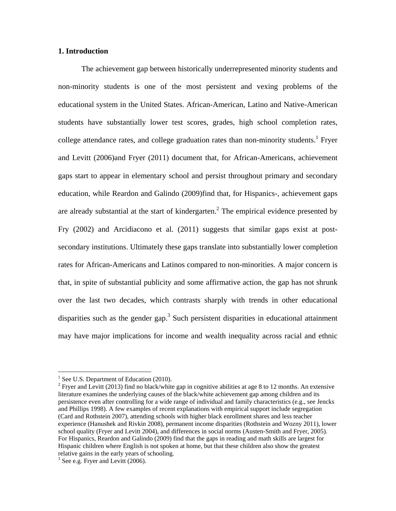## **1. Introduction**

The achievement gap between historically underrepresented minority students and non-minority students is one of the most persistent and vexing problems of the educational system in the United States. African-American, Latino and Native-American students have substantially lower test scores, grades, high school completion rates, college attendance rates, and college graduation rates than non-minority students.<sup>1</sup> Fryer and Levitt (2006)and Fryer (2011) document that, for African-Americans, achievement gaps start to appear in elementary school and persist throughout primary and secondary education, while Reardon and Galindo (2009)find that, for Hispanics-, achievement gaps are already substantial at the start of kindergarten.<sup>2</sup> The empirical evidence presented by Fry (2002) and Arcidiacono et al. (2011) suggests that similar gaps exist at postsecondary institutions. Ultimately these gaps translate into substantially lower completion rates for African-Americans and Latinos compared to non-minorities. A major concern is that, in spite of substantial publicity and some affirmative action, the gap has not shrunk over the last two decades, which contrasts sharply with trends in other educational disparities such as the gender gap.<sup>3</sup> Such persistent disparities in educational attainment may have major implications for income and wealth inequality across racial and ethnic

 $<sup>1</sup>$  See U.S. Department of Education (2010).</sup>

<sup>&</sup>lt;sup>2</sup> Fryer and Levitt (2013) find no black/white gap in cognitive abilities at age 8 to 12 months. An extensive literature examines the underlying causes of the black/white achievement gap among children and its persistence even after controlling for a wide range of individual and family characteristics (e.g., see Jencks and Phillips 1998). A few examples of recent explanations with empirical support include segregation (Card and Rothstein 2007), attending schools with higher black enrollment shares and less teacher experience (Hanushek and Rivkin 2008), permanent income disparities (Rothstein and Wozny 2011), lower school quality (Fryer and Levitt 2004), and differences in social norms (Austen-Smith and Fryer, 2005). For Hispanics, Reardon and Galindo (2009) find that the gaps in reading and math skills are largest for Hispanic children where English is not spoken at home, but that these children also show the greatest relative gains in the early years of schooling.

<sup>&</sup>lt;sup>3</sup> See e.g. Fryer and Levitt (2006).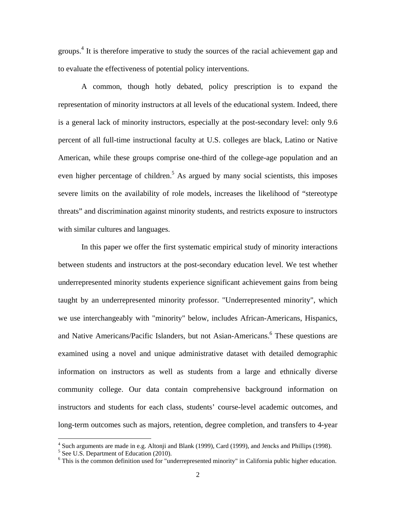groups.<sup>4</sup> It is therefore imperative to study the sources of the racial achievement gap and to evaluate the effectiveness of potential policy interventions.

A common, though hotly debated, policy prescription is to expand the representation of minority instructors at all levels of the educational system. Indeed, there is a general lack of minority instructors, especially at the post-secondary level: only 9.6 percent of all full-time instructional faculty at U.S. colleges are black, Latino or Native American, while these groups comprise one-third of the college-age population and an even higher percentage of children.<sup>5</sup> As argued by many social scientists, this imposes severe limits on the availability of role models, increases the likelihood of "stereotype threats" and discrimination against minority students, and restricts exposure to instructors with similar cultures and languages.

In this paper we offer the first systematic empirical study of minority interactions between students and instructors at the post-secondary education level. We test whether underrepresented minority students experience significant achievement gains from being taught by an underrepresented minority professor. "Underrepresented minority", which we use interchangeably with "minority" below, includes African-Americans, Hispanics, and Native Americans/Pacific Islanders, but not Asian-Americans.<sup>6</sup> These questions are examined using a novel and unique administrative dataset with detailed demographic information on instructors as well as students from a large and ethnically diverse community college. Our data contain comprehensive background information on instructors and students for each class, students' course-level academic outcomes, and long-term outcomes such as majors, retention, degree completion, and transfers to 4-year

<sup>&</sup>lt;sup>4</sup> Such arguments are made in e.g. Altonji and Blank (1999), Card (1999), and Jencks and Phillips (1998).

 $<sup>5</sup>$  See U.S. Department of Education (2010).</sup>

<sup>&</sup>lt;sup>6</sup> This is the common definition used for "underrepresented minority" in California public higher education.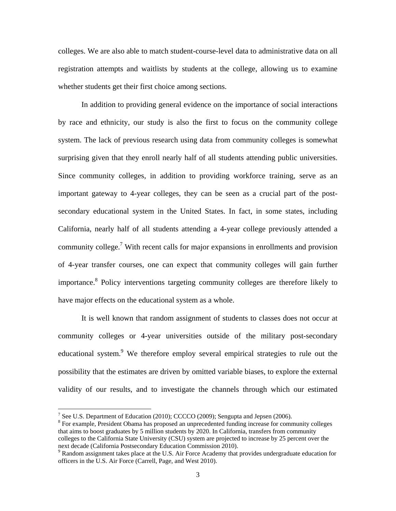colleges. We are also able to match student-course-level data to administrative data on all registration attempts and waitlists by students at the college, allowing us to examine whether students get their first choice among sections.

In addition to providing general evidence on the importance of social interactions by race and ethnicity, our study is also the first to focus on the community college system. The lack of previous research using data from community colleges is somewhat surprising given that they enroll nearly half of all students attending public universities. Since community colleges, in addition to providing workforce training, serve as an important gateway to 4-year colleges, they can be seen as a crucial part of the postsecondary educational system in the United States. In fact, in some states, including California, nearly half of all students attending a 4-year college previously attended a community college.<sup>7</sup> With recent calls for major expansions in enrollments and provision of 4-year transfer courses, one can expect that community colleges will gain further importance.<sup>8</sup> Policy interventions targeting community colleges are therefore likely to have major effects on the educational system as a whole.

It is well known that random assignment of students to classes does not occur at community colleges or 4-year universities outside of the military post-secondary educational system.<sup>9</sup> We therefore employ several empirical strategies to rule out the possibility that the estimates are driven by omitted variable biases, to explore the external validity of our results, and to investigate the channels through which our estimated

<sup>&</sup>lt;sup>7</sup> See U.S. Department of Education (2010); CCCCO (2009); Sengupta and Jepsen (2006).

<sup>&</sup>lt;sup>8</sup> For example, President Obama has proposed an unprecedented funding increase for community colleges that aims to boost graduates by 5 million students by 2020. In California, transfers from community colleges to the California State University (CSU) system are projected to increase by 25 percent over the next decade (California Postsecondary Education Commission 2010).

<sup>&</sup>lt;sup>9</sup> Random assignment takes place at the U.S. Air Force Academy that provides undergraduate education for officers in the U.S. Air Force (Carrell, Page, and West 2010).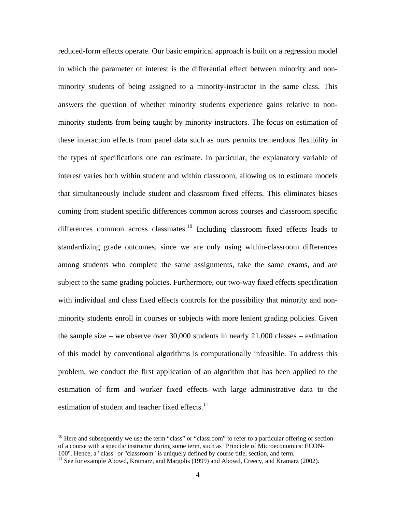reduced-form effects operate. Our basic empirical approach is built on a regression model in which the parameter of interest is the differential effect between minority and nonminority students of being assigned to a minority-instructor in the same class. This answers the question of whether minority students experience gains relative to nonminority students from being taught by minority instructors. The focus on estimation of these interaction effects from panel data such as ours permits tremendous flexibility in the types of specifications one can estimate. In particular, the explanatory variable of interest varies both within student and within classroom, allowing us to estimate models that simultaneously include student and classroom fixed effects. This eliminates biases coming from student specific differences common across courses and classroom specific differences common across classmates.<sup>10</sup> Including classroom fixed effects leads to standardizing grade outcomes, since we are only using within-classroom differences among students who complete the same assignments, take the same exams, and are subject to the same grading policies. Furthermore, our two-way fixed effects specification with individual and class fixed effects controls for the possibility that minority and nonminority students enroll in courses or subjects with more lenient grading policies. Given the sample size – we observe over 30,000 students in nearly 21,000 classes – estimation of this model by conventional algorithms is computationally infeasible. To address this problem, we conduct the first application of an algorithm that has been applied to the estimation of firm and worker fixed effects with large administrative data to the estimation of student and teacher fixed effects.<sup>11</sup>

 $10$  Here and subsequently we use the term "class" or "classroom" to refer to a particular offering or section of a course with a specific instructor during some term, such as "Principle of Microeconomics: ECON-

<sup>100&</sup>quot;. Hence, a "class" or "classroom" is uniquely defined by course title, section, and term.<br><sup>11</sup> See for example Abowd, Kramarz, and Margolis (1999) and Abowd, Creecy, and Kramarz (2002).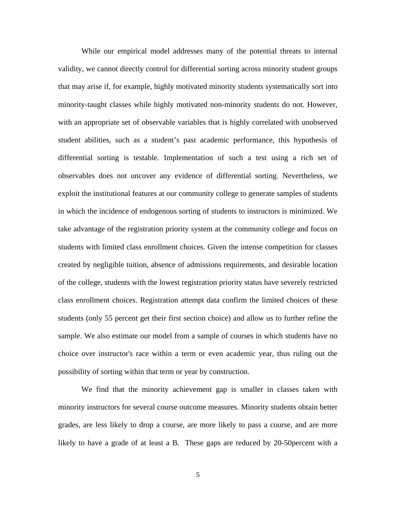While our empirical model addresses many of the potential threats to internal validity, we cannot directly control for differential sorting across minority student groups that may arise if, for example, highly motivated minority students systematically sort into minority-taught classes while highly motivated non-minority students do not. However, with an appropriate set of observable variables that is highly correlated with unobserved student abilities, such as a student's past academic performance, this hypothesis of differential sorting is testable. Implementation of such a test using a rich set of observables does not uncover any evidence of differential sorting. Nevertheless, we exploit the institutional features at our community college to generate samples of students in which the incidence of endogenous sorting of students to instructors is minimized. We take advantage of the registration priority system at the community college and focus on students with limited class enrollment choices. Given the intense competition for classes created by negligible tuition, absence of admissions requirements, and desirable location of the college, students with the lowest registration priority status have severely restricted class enrollment choices. Registration attempt data confirm the limited choices of these students (only 55 percent get their first section choice) and allow us to further refine the sample. We also estimate our model from a sample of courses in which students have no choice over instructor's race within a term or even academic year, thus ruling out the possibility of sorting within that term or year by construction.

We find that the minority achievement gap is smaller in classes taken with minority instructors for several course outcome measures. Minority students obtain better grades, are less likely to drop a course, are more likely to pass a course, and are more likely to have a grade of at least a B. These gaps are reduced by 20-50percent with a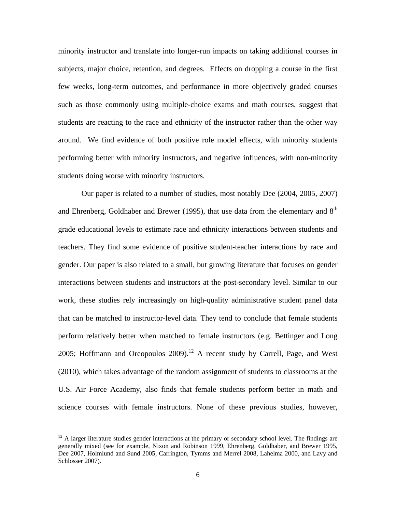minority instructor and translate into longer-run impacts on taking additional courses in subjects, major choice, retention, and degrees. Effects on dropping a course in the first few weeks, long-term outcomes, and performance in more objectively graded courses such as those commonly using multiple-choice exams and math courses, suggest that students are reacting to the race and ethnicity of the instructor rather than the other way around. We find evidence of both positive role model effects, with minority students performing better with minority instructors, and negative influences, with non-minority students doing worse with minority instructors.

Our paper is related to a number of studies, most notably Dee (2004, 2005, 2007) and Ehrenberg, Goldhaber and Brewer (1995), that use data from the elementary and  $8<sup>th</sup>$ grade educational levels to estimate race and ethnicity interactions between students and teachers. They find some evidence of positive student-teacher interactions by race and gender. Our paper is also related to a small, but growing literature that focuses on gender interactions between students and instructors at the post-secondary level. Similar to our work, these studies rely increasingly on high-quality administrative student panel data that can be matched to instructor-level data. They tend to conclude that female students perform relatively better when matched to female instructors (e.g. Bettinger and Long 2005; Hoffmann and Oreopoulos 2009).<sup>12</sup> A recent study by Carrell, Page, and West (2010), which takes advantage of the random assignment of students to classrooms at the U.S. Air Force Academy, also finds that female students perform better in math and science courses with female instructors. None of these previous studies, however,

 $12$  A larger literature studies gender interactions at the primary or secondary school level. The findings are generally mixed (see for example, Nixon and Robinson 1999, Ehrenberg, Goldhaber, and Brewer 1995, Dee 2007, Holmlund and Sund 2005, Carrington, Tymms and Merrel 2008, Lahelma 2000, and Lavy and Schlosser 2007).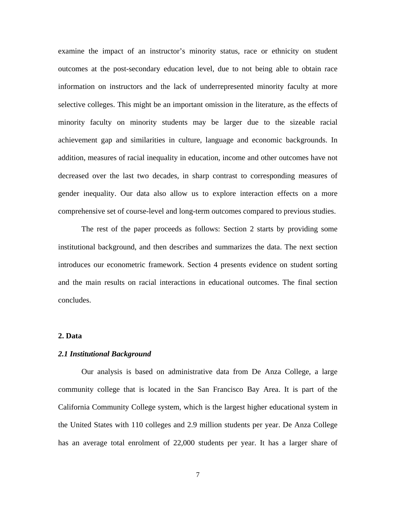examine the impact of an instructor's minority status, race or ethnicity on student outcomes at the post-secondary education level, due to not being able to obtain race information on instructors and the lack of underrepresented minority faculty at more selective colleges. This might be an important omission in the literature, as the effects of minority faculty on minority students may be larger due to the sizeable racial achievement gap and similarities in culture, language and economic backgrounds. In addition, measures of racial inequality in education, income and other outcomes have not decreased over the last two decades, in sharp contrast to corresponding measures of gender inequality. Our data also allow us to explore interaction effects on a more comprehensive set of course-level and long-term outcomes compared to previous studies.

The rest of the paper proceeds as follows: Section 2 starts by providing some institutional background, and then describes and summarizes the data. The next section introduces our econometric framework. Section 4 presents evidence on student sorting and the main results on racial interactions in educational outcomes. The final section concludes.

#### **2. Data**

#### *2.1 Institutional Background*

Our analysis is based on administrative data from De Anza College, a large community college that is located in the San Francisco Bay Area. It is part of the California Community College system, which is the largest higher educational system in the United States with 110 colleges and 2.9 million students per year. De Anza College has an average total enrolment of 22,000 students per year. It has a larger share of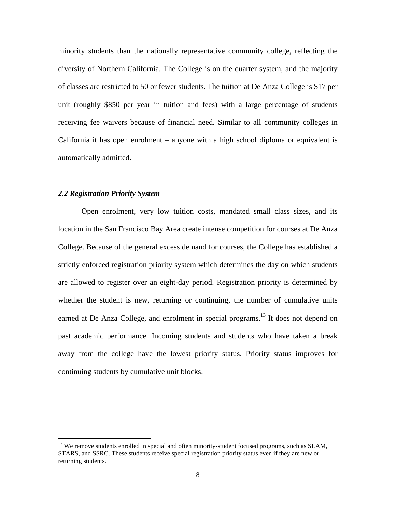minority students than the nationally representative community college, reflecting the diversity of Northern California. The College is on the quarter system, and the majority of classes are restricted to 50 or fewer students. The tuition at De Anza College is \$17 per unit (roughly \$850 per year in tuition and fees) with a large percentage of students receiving fee waivers because of financial need. Similar to all community colleges in California it has open enrolment – anyone with a high school diploma or equivalent is automatically admitted.

#### *2.2 Registration Priority System*

1

Open enrolment, very low tuition costs, mandated small class sizes, and its location in the San Francisco Bay Area create intense competition for courses at De Anza College. Because of the general excess demand for courses, the College has established a strictly enforced registration priority system which determines the day on which students are allowed to register over an eight-day period. Registration priority is determined by whether the student is new, returning or continuing, the number of cumulative units earned at De Anza College, and enrolment in special programs.<sup>13</sup> It does not depend on past academic performance. Incoming students and students who have taken a break away from the college have the lowest priority status. Priority status improves for continuing students by cumulative unit blocks.

<sup>&</sup>lt;sup>13</sup> We remove students enrolled in special and often minority-student focused programs, such as SLAM, STARS, and SSRC. These students receive special registration priority status even if they are new or returning students.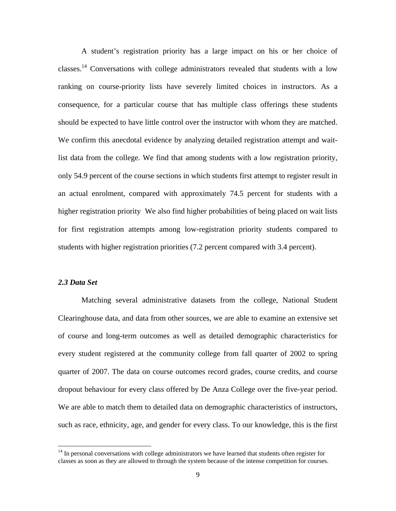A student's registration priority has a large impact on his or her choice of classes.<sup>14</sup> Conversations with college administrators revealed that students with a low ranking on course-priority lists have severely limited choices in instructors. As a consequence, for a particular course that has multiple class offerings these students should be expected to have little control over the instructor with whom they are matched. We confirm this anecdotal evidence by analyzing detailed registration attempt and waitlist data from the college. We find that among students with a low registration priority, only 54.9 percent of the course sections in which students first attempt to register result in an actual enrolment, compared with approximately 74.5 percent for students with a higher registration priority We also find higher probabilities of being placed on wait lists for first registration attempts among low-registration priority students compared to students with higher registration priorities (7.2 percent compared with 3.4 percent).

## *2.3 Data Set*

 $\overline{a}$ 

Matching several administrative datasets from the college, National Student Clearinghouse data, and data from other sources, we are able to examine an extensive set of course and long-term outcomes as well as detailed demographic characteristics for every student registered at the community college from fall quarter of 2002 to spring quarter of 2007. The data on course outcomes record grades, course credits, and course dropout behaviour for every class offered by De Anza College over the five-year period. We are able to match them to detailed data on demographic characteristics of instructors, such as race, ethnicity, age, and gender for every class. To our knowledge, this is the first

<sup>&</sup>lt;sup>14</sup> In personal conversations with college administrators we have learned that students often register for classes as soon as they are allowed to through the system because of the intense competition for courses.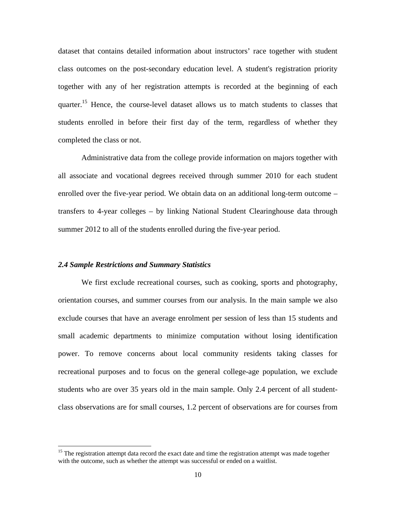dataset that contains detailed information about instructors' race together with student class outcomes on the post-secondary education level. A student's registration priority together with any of her registration attempts is recorded at the beginning of each quarter.<sup>15</sup> Hence, the course-level dataset allows us to match students to classes that students enrolled in before their first day of the term, regardless of whether they completed the class or not.

Administrative data from the college provide information on majors together with all associate and vocational degrees received through summer 2010 for each student enrolled over the five-year period. We obtain data on an additional long-term outcome – transfers to 4-year colleges – by linking National Student Clearinghouse data through summer 2012 to all of the students enrolled during the five-year period.

### *2.4 Sample Restrictions and Summary Statistics*

 $\overline{a}$ 

We first exclude recreational courses, such as cooking, sports and photography, orientation courses, and summer courses from our analysis. In the main sample we also exclude courses that have an average enrolment per session of less than 15 students and small academic departments to minimize computation without losing identification power. To remove concerns about local community residents taking classes for recreational purposes and to focus on the general college-age population, we exclude students who are over 35 years old in the main sample. Only 2.4 percent of all studentclass observations are for small courses, 1.2 percent of observations are for courses from

<sup>&</sup>lt;sup>15</sup> The registration attempt data record the exact date and time the registration attempt was made together with the outcome, such as whether the attempt was successful or ended on a waitlist.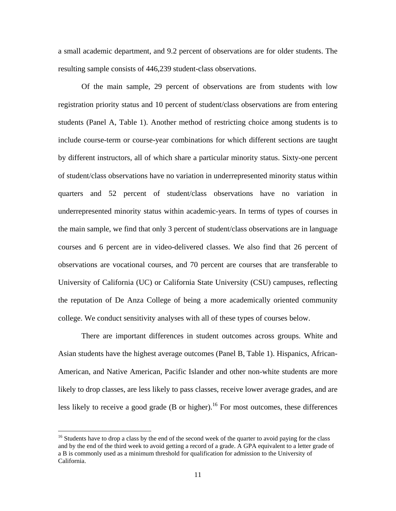a small academic department, and 9.2 percent of observations are for older students. The resulting sample consists of 446,239 student-class observations.

Of the main sample, 29 percent of observations are from students with low registration priority status and 10 percent of student/class observations are from entering students (Panel A, Table 1). Another method of restricting choice among students is to include course-term or course-year combinations for which different sections are taught by different instructors, all of which share a particular minority status. Sixty-one percent of student/class observations have no variation in underrepresented minority status within quarters and 52 percent of student/class observations have no variation in underrepresented minority status within academic-years. In terms of types of courses in the main sample, we find that only 3 percent of student/class observations are in language courses and 6 percent are in video-delivered classes. We also find that 26 percent of observations are vocational courses, and 70 percent are courses that are transferable to University of California (UC) or California State University (CSU) campuses, reflecting the reputation of De Anza College of being a more academically oriented community college. We conduct sensitivity analyses with all of these types of courses below.

There are important differences in student outcomes across groups. White and Asian students have the highest average outcomes (Panel B, Table 1). Hispanics, African-American, and Native American, Pacific Islander and other non-white students are more likely to drop classes, are less likely to pass classes, receive lower average grades, and are less likely to receive a good grade (B or higher).<sup>16</sup> For most outcomes, these differences

<u>.</u>

<sup>&</sup>lt;sup>16</sup> Students have to drop a class by the end of the second week of the quarter to avoid paying for the class and by the end of the third week to avoid getting a record of a grade. A GPA equivalent to a letter grade of a B is commonly used as a minimum threshold for qualification for admission to the University of California.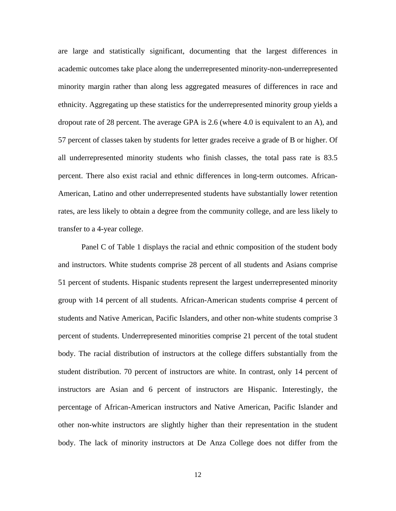are large and statistically significant, documenting that the largest differences in academic outcomes take place along the underrepresented minority-non-underrepresented minority margin rather than along less aggregated measures of differences in race and ethnicity. Aggregating up these statistics for the underrepresented minority group yields a dropout rate of 28 percent. The average GPA is 2.6 (where 4.0 is equivalent to an A), and 57 percent of classes taken by students for letter grades receive a grade of B or higher. Of all underrepresented minority students who finish classes, the total pass rate is 83.5 percent. There also exist racial and ethnic differences in long-term outcomes. African-American, Latino and other underrepresented students have substantially lower retention rates, are less likely to obtain a degree from the community college, and are less likely to transfer to a 4-year college.

Panel C of Table 1 displays the racial and ethnic composition of the student body and instructors. White students comprise 28 percent of all students and Asians comprise 51 percent of students. Hispanic students represent the largest underrepresented minority group with 14 percent of all students. African-American students comprise 4 percent of students and Native American, Pacific Islanders, and other non-white students comprise 3 percent of students. Underrepresented minorities comprise 21 percent of the total student body. The racial distribution of instructors at the college differs substantially from the student distribution. 70 percent of instructors are white. In contrast, only 14 percent of instructors are Asian and 6 percent of instructors are Hispanic. Interestingly, the percentage of African-American instructors and Native American, Pacific Islander and other non-white instructors are slightly higher than their representation in the student body. The lack of minority instructors at De Anza College does not differ from the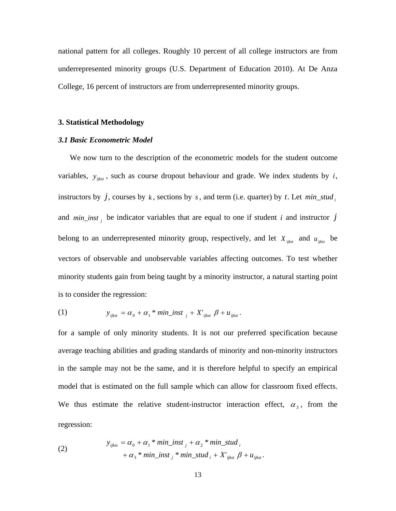national pattern for all colleges. Roughly 10 percent of all college instructors are from underrepresented minority groups (U.S. Department of Education 2010). At De Anza College, 16 percent of instructors are from underrepresented minority groups.

#### **3. Statistical Methodology**

### *3.1 Basic Econometric Model*

We now turn to the description of the econometric models for the student outcome variables,  $y_{ijkst}$ , such as course dropout behaviour and grade. We index students by *i*, instructors by  $j$ , courses by  $k$ , sections by  $s$ , and term (i.e. quarter) by  $t$ . Let  $min\_stud_i$ and  $min\_inst$  *j* be indicator variables that are equal to one if student *i* and instructor *j* belong to an underrepresented minority group, respectively, and let  $X_{ijkst}$  and  $u_{ijkst}$  be vectors of observable and unobservable variables affecting outcomes. To test whether minority students gain from being taught by a minority instructor, a natural starting point is to consider the regression:

(1) 
$$
y_{ijkst} = \alpha_0 + \alpha_1 * min\_inst_{j} + X'_{ijkst} \beta + u_{ijkst}.
$$

for a sample of only minority students. It is not our preferred specification because average teaching abilities and grading standards of minority and non-minority instructors in the sample may not be the same, and it is therefore helpful to specify an empirical model that is estimated on the full sample which can allow for classroom fixed effects. We thus estimate the relative student-instructor interaction effect,  $\alpha_3$ , from the regression:

(2) 
$$
y_{ijkst} = \alpha_0 + \alpha_1 * min\_inst_j + \alpha_2 * min\_stud_j
$$

$$
+ \alpha_3 * min\_inst_j * min\_stud_j + X'_{ijkst} \beta + u_{ijkst}.
$$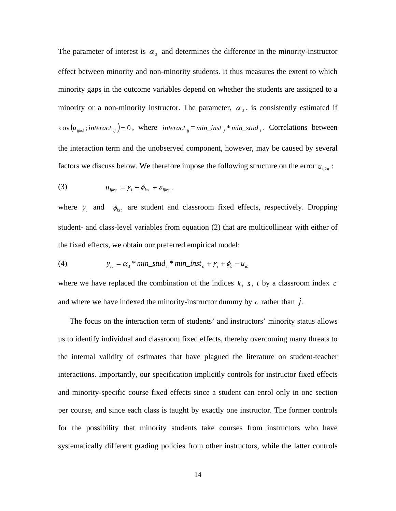The parameter of interest is  $\alpha_3$  and determines the difference in the minority-instructor effect between minority and non-minority students. It thus measures the extent to which minority gaps in the outcome variables depend on whether the students are assigned to a minority or a non-minority instructor. The parameter,  $\alpha_3$ , is consistently estimated if  $\text{cov}\left(u_{ijkst}^{\text{interact}}\right) = 0$ , where *interact*<sub>ij</sub> = *min\_inst*<sub>i</sub><sup>\*</sup> *min\_stud*<sub>i</sub>. Correlations between the interaction term and the unobserved component, however, may be caused by several factors we discuss below. We therefore impose the following structure on the error  $u_{iikst}$ :

(3) 
$$
u_{ijkst} = \gamma_i + \phi_{kst} + \varepsilon_{ijkst}.
$$

where  $\gamma_i$  and  $\phi_{kst}$  are student and classroom fixed effects, respectively. Dropping student- and class-level variables from equation (2) that are multicollinear with either of the fixed effects, we obtain our preferred empirical model:

(4) 
$$
y_{ic} = \alpha_3 * min\_stud_i * min\_inst_c + \gamma_i + \phi_c + u_{ic}
$$

where we have replaced the combination of the indices  $k$ ,  $s$ ,  $t$  by a classroom index  $c$ and where we have indexed the minority-instructor dummy by *c* rather than *j*.

The focus on the interaction term of students' and instructors' minority status allows us to identify individual and classroom fixed effects, thereby overcoming many threats to the internal validity of estimates that have plagued the literature on student-teacher interactions. Importantly, our specification implicitly controls for instructor fixed effects and minority-specific course fixed effects since a student can enrol only in one section per course, and since each class is taught by exactly one instructor. The former controls for the possibility that minority students take courses from instructors who have systematically different grading policies from other instructors, while the latter controls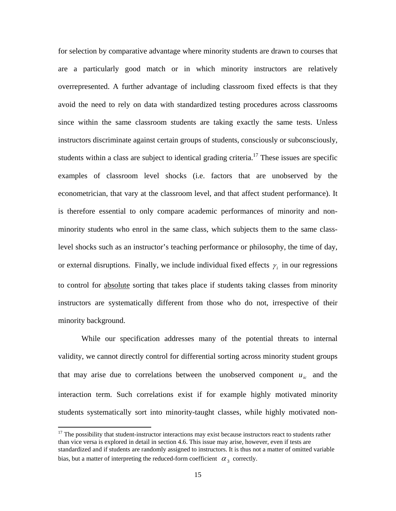for selection by comparative advantage where minority students are drawn to courses that are a particularly good match or in which minority instructors are relatively overrepresented. A further advantage of including classroom fixed effects is that they avoid the need to rely on data with standardized testing procedures across classrooms since within the same classroom students are taking exactly the same tests. Unless instructors discriminate against certain groups of students, consciously or subconsciously, students within a class are subject to identical grading criteria.<sup>17</sup> These issues are specific examples of classroom level shocks (i.e. factors that are unobserved by the econometrician, that vary at the classroom level, and that affect student performance). It is therefore essential to only compare academic performances of minority and nonminority students who enrol in the same class, which subjects them to the same classlevel shocks such as an instructor's teaching performance or philosophy, the time of day, or external disruptions. Finally, we include individual fixed effects  $\gamma_i$  in our regressions to control for absolute sorting that takes place if students taking classes from minority instructors are systematically different from those who do not, irrespective of their minority background.

 While our specification addresses many of the potential threats to internal validity, we cannot directly control for differential sorting across minority student groups that may arise due to correlations between the unobserved component  $u_{ic}$  and the interaction term. Such correlations exist if for example highly motivated minority students systematically sort into minority-taught classes, while highly motivated non-

1

 $17$  The possibility that student-instructor interactions may exist because instructors react to students rather than vice versa is explored in detail in section 4.6. This issue may arise, however, even if tests are standardized and if students are randomly assigned to instructors. It is thus not a matter of omitted variable bias, but a matter of interpreting the reduced-form coefficient  $\alpha_3$  correctly.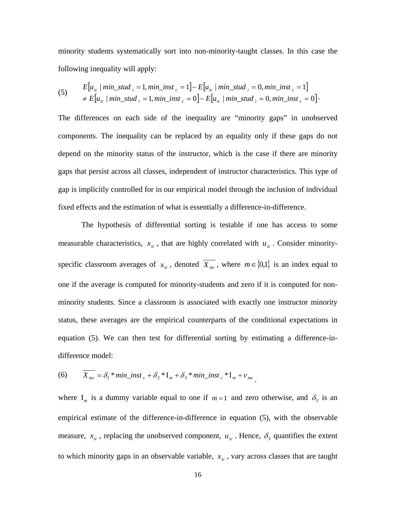minority students systematically sort into non-minority-taught classes. In this case the following inequality will apply:

$$
\begin{aligned} \text{(5)} \qquad E\big[u_{ic} \mid \min\_stud_i = 1, \min\_inst_c = 1\big] - E\big[u_{ic} \mid \min\_stud_i = 0, \min\_inst_c = 1\big] \\ &\neq E\big[u_{ic} \mid \min\_stud_i = 1, \min\_inst_c = 0\big] - E\big[u_{ic} \mid \min\_stud_i = 0, \min\_inst_c = 0\big]. \end{aligned}
$$

The differences on each side of the inequality are "minority gaps" in unobserved components. The inequality can be replaced by an equality only if these gaps do not depend on the minority status of the instructor, which is the case if there are minority gaps that persist across all classes, independent of instructor characteristics. This type of gap is implicitly controlled for in our empirical model through the inclusion of individual fixed effects and the estimation of what is essentially a difference-in-difference.

 The hypothesis of differential sorting is testable if one has access to some measurable characteristics,  $x_{ic}$ , that are highly correlated with  $u_{ic}$ . Consider minorityspecific classroom averages of  $x_{ic}$ , denoted  $\overline{X_{mc}}$ , where  $m \in \{0,1\}$  is an index equal to one if the average is computed for minority-students and zero if it is computed for nonminority students. Since a classroom is associated with exactly one instructor minority status, these averages are the empirical counterparts of the conditional expectations in equation (5). We can then test for differential sorting by estimating a difference-indifference model:

(6) 
$$
X_{mc} = \delta_1 * min\_inst_c + \delta_2 * I_m + \delta_3 * min\_inst_c * I_m + \nu_{mc}.
$$

where  $I_m$  is a dummy variable equal to one if  $m=1$  and zero otherwise, and  $\delta_3$  is an empirical estimate of the difference-in-difference in equation (5), with the observable measure,  $x_{ic}$ , replacing the unobserved component,  $u_{ic}$ . Hence,  $\delta_3$  quantifies the extent to which minority gaps in an observable variable,  $x_{ic}$ , vary across classes that are taught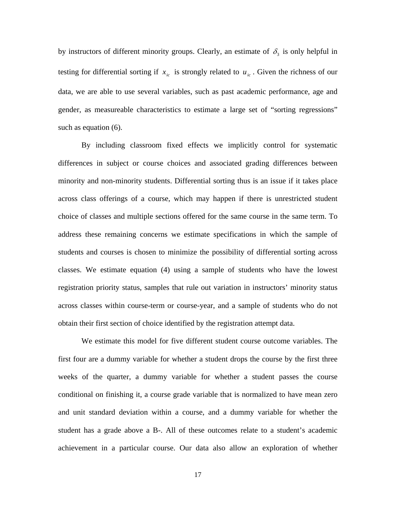by instructors of different minority groups. Clearly, an estimate of  $\delta_3$  is only helpful in testing for differential sorting if  $x_{ic}$  is strongly related to  $u_{ic}$ . Given the richness of our data, we are able to use several variables, such as past academic performance, age and gender, as measureable characteristics to estimate a large set of "sorting regressions" such as equation (6).

By including classroom fixed effects we implicitly control for systematic differences in subject or course choices and associated grading differences between minority and non-minority students. Differential sorting thus is an issue if it takes place across class offerings of a course, which may happen if there is unrestricted student choice of classes and multiple sections offered for the same course in the same term. To address these remaining concerns we estimate specifications in which the sample of students and courses is chosen to minimize the possibility of differential sorting across classes. We estimate equation (4) using a sample of students who have the lowest registration priority status, samples that rule out variation in instructors' minority status across classes within course-term or course-year, and a sample of students who do not obtain their first section of choice identified by the registration attempt data.

 We estimate this model for five different student course outcome variables. The first four are a dummy variable for whether a student drops the course by the first three weeks of the quarter, a dummy variable for whether a student passes the course conditional on finishing it, a course grade variable that is normalized to have mean zero and unit standard deviation within a course, and a dummy variable for whether the student has a grade above a B-. All of these outcomes relate to a student's academic achievement in a particular course. Our data also allow an exploration of whether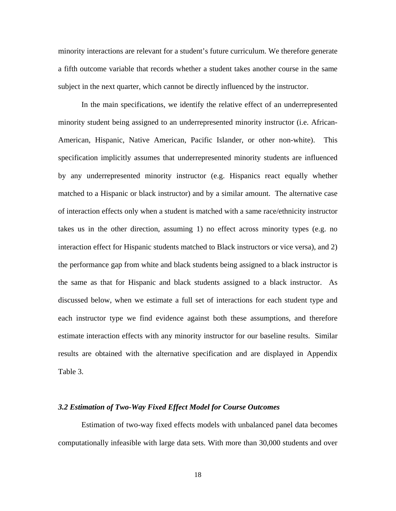minority interactions are relevant for a student's future curriculum. We therefore generate a fifth outcome variable that records whether a student takes another course in the same subject in the next quarter, which cannot be directly influenced by the instructor.

 In the main specifications, we identify the relative effect of an underrepresented minority student being assigned to an underrepresented minority instructor (i.e. African-American, Hispanic, Native American, Pacific Islander, or other non-white). This specification implicitly assumes that underrepresented minority students are influenced by any underrepresented minority instructor (e.g. Hispanics react equally whether matched to a Hispanic or black instructor) and by a similar amount. The alternative case of interaction effects only when a student is matched with a same race/ethnicity instructor takes us in the other direction, assuming 1) no effect across minority types (e.g. no interaction effect for Hispanic students matched to Black instructors or vice versa), and 2) the performance gap from white and black students being assigned to a black instructor is the same as that for Hispanic and black students assigned to a black instructor. As discussed below, when we estimate a full set of interactions for each student type and each instructor type we find evidence against both these assumptions, and therefore estimate interaction effects with any minority instructor for our baseline results. Similar results are obtained with the alternative specification and are displayed in Appendix Table 3.

### *3.2 Estimation of Two-Way Fixed Effect Model for Course Outcomes*

 Estimation of two-way fixed effects models with unbalanced panel data becomes computationally infeasible with large data sets. With more than 30,000 students and over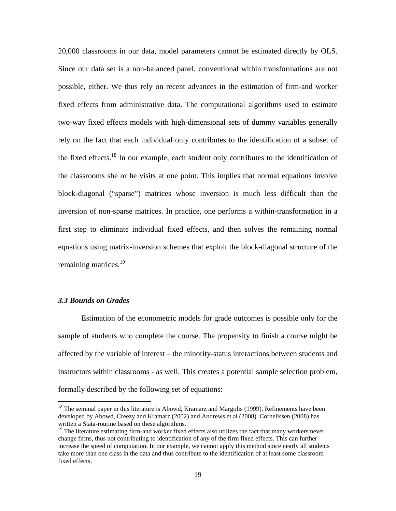20,000 classrooms in our data, model parameters cannot be estimated directly by OLS. Since our data set is a non-balanced panel, conventional within transformations are not possible, either. We thus rely on recent advances in the estimation of firm-and worker fixed effects from administrative data. The computational algorithms used to estimate two-way fixed effects models with high-dimensional sets of dummy variables generally rely on the fact that each individual only contributes to the identification of a subset of the fixed effects.<sup>18</sup> In our example, each student only contributes to the identification of the classrooms she or he visits at one point. This implies that normal equations involve block-diagonal ("sparse") matrices whose inversion is much less difficult than the inversion of non-sparse matrices. In practice, one performs a within-transformation in a first step to eliminate individual fixed effects, and then solves the remaining normal equations using matrix-inversion schemes that exploit the block-diagonal structure of the remaining matrices.<sup>19</sup>

## *3.3 Bounds on Grades*

 $\overline{a}$ 

Estimation of the econometric models for grade outcomes is possible only for the sample of students who complete the course. The propensity to finish a course might be affected by the variable of interest – the minority-status interactions between students and instructors within classrooms - as well. This creates a potential sample selection problem, formally described by the following set of equations:

<sup>&</sup>lt;sup>18</sup> The seminal paper in this literature is Abowd, Kramarz and Margolis (1999). Refinements have been developed by Abowd, Creezy and Kramarz (2002) and Andrews et al (2008). Cornelissen (2008) has written a Stata-routine based on these algorithms.

<sup>&</sup>lt;sup>19</sup> The literature estimating firm-and worker fixed effects also utilizes the fact that many workers never change firms, thus not contributing to identification of any of the firm fixed effects. This can further increase the speed of computation. In our example, we cannot apply this method since nearly all students take more than one class in the data and thus contribute to the identification of at least some classroom fixed effects.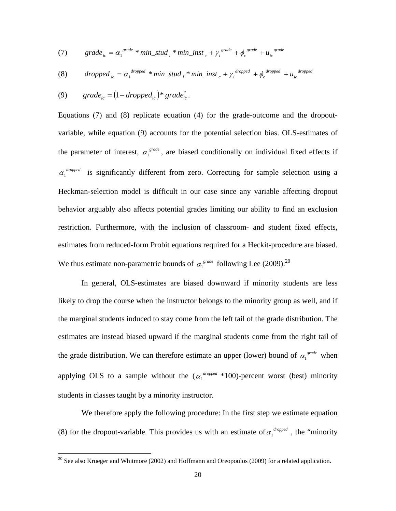(7) 
$$
grade_{ic} = \alpha_1^{grade} * min\_stud_i * min\_inst_c + \gamma_i^{grade} + \phi_c^{grade} + u_{ic}^{grade}
$$

(8) dropped 
$$
_{ic} = \alpha_1^{dropped} * min\_stud_i * min\_inst_c + \gamma_i^{dropped} + \phi_c^{dropped} + u_{ic}^{dropped}
$$

(9) 
$$
grade_{ic} = (1 - dropped_{ic}) * grade_{ic}^*.
$$

 $\overline{a}$ 

Equations (7) and (8) replicate equation (4) for the grade-outcome and the dropoutvariable, while equation (9) accounts for the potential selection bias. OLS-estimates of the parameter of interest,  $\alpha_1^{\text{grade}}$ , are biased conditionally on individual fixed effects if  $\alpha_1^{dropped}$  is significantly different from zero. Correcting for sample selection using a Heckman-selection model is difficult in our case since any variable affecting dropout behavior arguably also affects potential grades limiting our ability to find an exclusion restriction. Furthermore, with the inclusion of classroom- and student fixed effects, estimates from reduced-form Probit equations required for a Heckit-procedure are biased. We thus estimate non-parametric bounds of  $\alpha_1^{grade}$  following Lee (2009).<sup>20</sup>

 In general, OLS-estimates are biased downward if minority students are less likely to drop the course when the instructor belongs to the minority group as well, and if the marginal students induced to stay come from the left tail of the grade distribution. The estimates are instead biased upward if the marginal students come from the right tail of the grade distribution. We can therefore estimate an upper (lower) bound of  $\alpha_1^{\text{grade}}$  when applying OLS to a sample without the  $(\alpha_1^{dropped} * 100)$ -percent worst (best) minority students in classes taught by a minority instructor.

 We therefore apply the following procedure: In the first step we estimate equation (8) for the dropout-variable. This provides us with an estimate of  $\alpha_1^{dropped}$ , the "minority"

 $20$  See also Krueger and Whitmore (2002) and Hoffmann and Oreopoulos (2009) for a related application.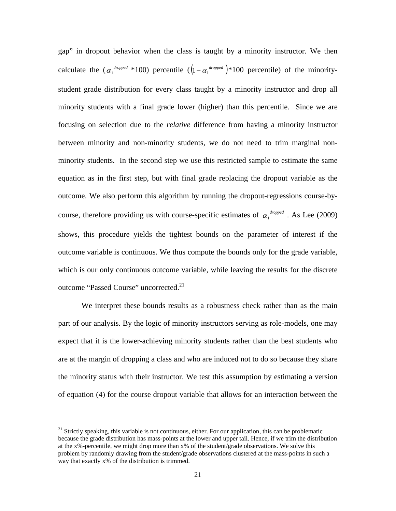gap" in dropout behavior when the class is taught by a minority instructor. We then calculate the  $(\alpha_1^{dropped} * 100)$  percentile  $([1 - \alpha_1^{dropped}) * 100$  percentile) of the minoritystudent grade distribution for every class taught by a minority instructor and drop all minority students with a final grade lower (higher) than this percentile. Since we are focusing on selection due to the *relative* difference from having a minority instructor between minority and non-minority students, we do not need to trim marginal nonminority students. In the second step we use this restricted sample to estimate the same equation as in the first step, but with final grade replacing the dropout variable as the outcome. We also perform this algorithm by running the dropout-regressions course-bycourse, therefore providing us with course-specific estimates of  $\alpha_1^{dropped}$ . As Lee (2009) shows, this procedure yields the tightest bounds on the parameter of interest if the outcome variable is continuous. We thus compute the bounds only for the grade variable, which is our only continuous outcome variable, while leaving the results for the discrete outcome "Passed Course" uncorrected.<sup>21</sup>

 We interpret these bounds results as a robustness check rather than as the main part of our analysis. By the logic of minority instructors serving as role-models, one may expect that it is the lower-achieving minority students rather than the best students who are at the margin of dropping a class and who are induced not to do so because they share the minority status with their instructor. We test this assumption by estimating a version of equation (4) for the course dropout variable that allows for an interaction between the

 $21$  Strictly speaking, this variable is not continuous, either. For our application, this can be problematic because the grade distribution has mass-points at the lower and upper tail. Hence, if we trim the distribution at the x%-percentile, we might drop more than x% of the student/grade observations. We solve this problem by randomly drawing from the student/grade observations clustered at the mass-points in such a way that exactly x% of the distribution is trimmed.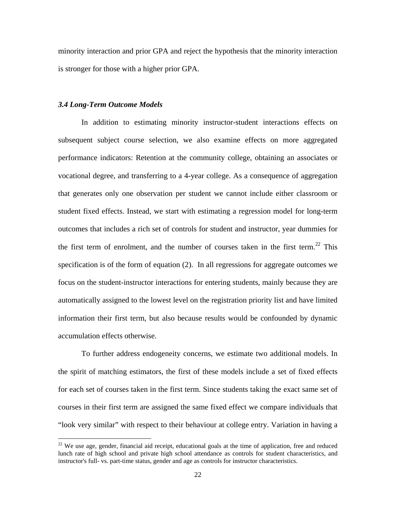minority interaction and prior GPA and reject the hypothesis that the minority interaction is stronger for those with a higher prior GPA.

## *3.4 Long-Term Outcome Models*

1

 In addition to estimating minority instructor-student interactions effects on subsequent subject course selection, we also examine effects on more aggregated performance indicators: Retention at the community college, obtaining an associates or vocational degree, and transferring to a 4-year college. As a consequence of aggregation that generates only one observation per student we cannot include either classroom or student fixed effects. Instead, we start with estimating a regression model for long-term outcomes that includes a rich set of controls for student and instructor, year dummies for the first term of enrolment, and the number of courses taken in the first term.<sup>22</sup> This specification is of the form of equation (2). In all regressions for aggregate outcomes we focus on the student-instructor interactions for entering students, mainly because they are automatically assigned to the lowest level on the registration priority list and have limited information their first term, but also because results would be confounded by dynamic accumulation effects otherwise.

 To further address endogeneity concerns, we estimate two additional models. In the spirit of matching estimators, the first of these models include a set of fixed effects for each set of courses taken in the first term. Since students taking the exact same set of courses in their first term are assigned the same fixed effect we compare individuals that "look very similar" with respect to their behaviour at college entry. Variation in having a

<sup>&</sup>lt;sup>22</sup> We use age, gender, financial aid receipt, educational goals at the time of application, free and reduced lunch rate of high school and private high school attendance as controls for student characteristics, and instructor's full- vs. part-time status, gender and age as controls for instructor characteristics.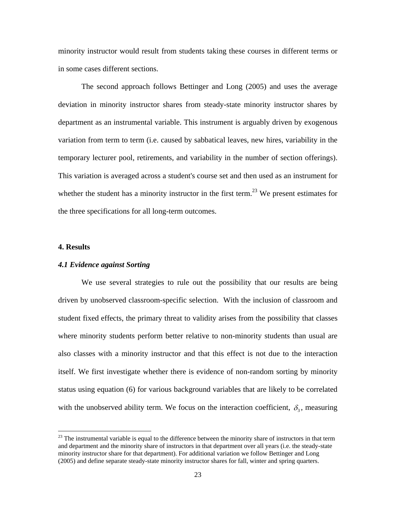minority instructor would result from students taking these courses in different terms or in some cases different sections.

 The second approach follows Bettinger and Long (2005) and uses the average deviation in minority instructor shares from steady-state minority instructor shares by department as an instrumental variable. This instrument is arguably driven by exogenous variation from term to term (i.e. caused by sabbatical leaves, new hires, variability in the temporary lecturer pool, retirements, and variability in the number of section offerings). This variation is averaged across a student's course set and then used as an instrument for whether the student has a minority instructor in the first term.<sup>23</sup> We present estimates for the three specifications for all long-term outcomes.

#### **4. Results**

 $\overline{a}$ 

### *4.1 Evidence against Sorting*

 We use several strategies to rule out the possibility that our results are being driven by unobserved classroom-specific selection. With the inclusion of classroom and student fixed effects, the primary threat to validity arises from the possibility that classes where minority students perform better relative to non-minority students than usual are also classes with a minority instructor and that this effect is not due to the interaction itself. We first investigate whether there is evidence of non-random sorting by minority status using equation (6) for various background variables that are likely to be correlated with the unobserved ability term. We focus on the interaction coefficient,  $\delta_3$ , measuring

 $^{23}$  The instrumental variable is equal to the difference between the minority share of instructors in that term and department and the minority share of instructors in that department over all years (i.e. the steady-state minority instructor share for that department). For additional variation we follow Bettinger and Long (2005) and define separate steady-state minority instructor shares for fall, winter and spring quarters.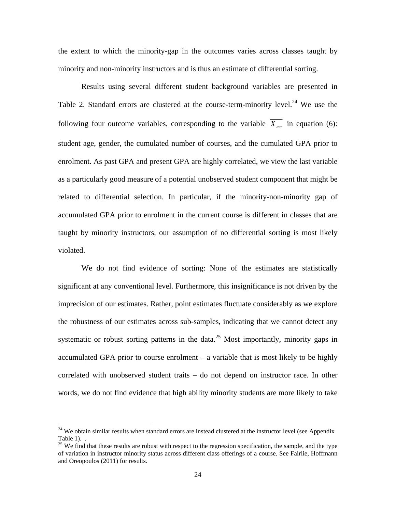the extent to which the minority-gap in the outcomes varies across classes taught by minority and non-minority instructors and is thus an estimate of differential sorting.

Results using several different student background variables are presented in Table 2. Standard errors are clustered at the course-term-minority level.<sup>24</sup> We use the following four outcome variables, corresponding to the variable  $\overline{X_{mc}}$  in equation (6): student age, gender, the cumulated number of courses, and the cumulated GPA prior to enrolment. As past GPA and present GPA are highly correlated, we view the last variable as a particularly good measure of a potential unobserved student component that might be related to differential selection. In particular, if the minority-non-minority gap of accumulated GPA prior to enrolment in the current course is different in classes that are taught by minority instructors, our assumption of no differential sorting is most likely violated.

 We do not find evidence of sorting: None of the estimates are statistically significant at any conventional level. Furthermore, this insignificance is not driven by the imprecision of our estimates. Rather, point estimates fluctuate considerably as we explore the robustness of our estimates across sub-samples, indicating that we cannot detect any systematic or robust sorting patterns in the data.<sup>25</sup> Most importantly, minority gaps in accumulated GPA prior to course enrolment – a variable that is most likely to be highly correlated with unobserved student traits – do not depend on instructor race. In other words, we do not find evidence that high ability minority students are more likely to take

 $24$  We obtain similar results when standard errors are instead clustered at the instructor level (see Appendix Table 1). .

<sup>&</sup>lt;sup>25</sup> We find that these results are robust with respect to the regression specification, the sample, and the type of variation in instructor minority status across different class offerings of a course. See Fairlie, Hoffmann and Oreopoulos (2011) for results.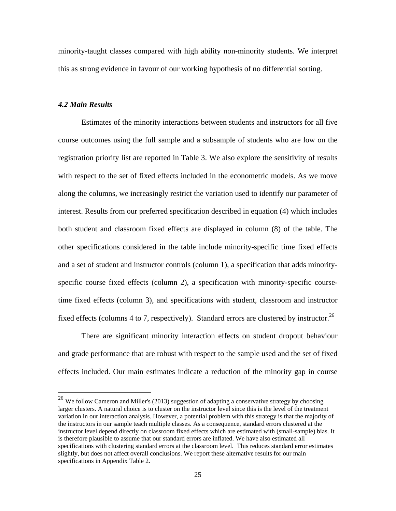minority-taught classes compared with high ability non-minority students. We interpret this as strong evidence in favour of our working hypothesis of no differential sorting.

## *4.2 Main Results*

 $\overline{a}$ 

Estimates of the minority interactions between students and instructors for all five course outcomes using the full sample and a subsample of students who are low on the registration priority list are reported in Table 3. We also explore the sensitivity of results with respect to the set of fixed effects included in the econometric models. As we move along the columns, we increasingly restrict the variation used to identify our parameter of interest. Results from our preferred specification described in equation (4) which includes both student and classroom fixed effects are displayed in column (8) of the table. The other specifications considered in the table include minority-specific time fixed effects and a set of student and instructor controls (column 1), a specification that adds minorityspecific course fixed effects (column 2), a specification with minority-specific coursetime fixed effects (column 3), and specifications with student, classroom and instructor fixed effects (columns 4 to 7, respectively). Standard errors are clustered by instructor.<sup>26</sup>

There are significant minority interaction effects on student dropout behaviour and grade performance that are robust with respect to the sample used and the set of fixed effects included. Our main estimates indicate a reduction of the minority gap in course

 $^{26}$  We follow Cameron and Miller's (2013) suggestion of adapting a conservative strategy by choosing larger clusters. A natural choice is to cluster on the instructor level since this is the level of the treatment variation in our interaction analysis. However, a potential problem with this strategy is that the majority of the instructors in our sample teach multiple classes. As a consequence, standard errors clustered at the instructor level depend directly on classroom fixed effects which are estimated with (small-sample) bias. It is therefore plausible to assume that our standard errors are inflated. We have also estimated all specifications with clustering standard errors at the classroom level. This reduces standard error estimates slightly, but does not affect overall conclusions. We report these alternative results for our main specifications in Appendix Table 2.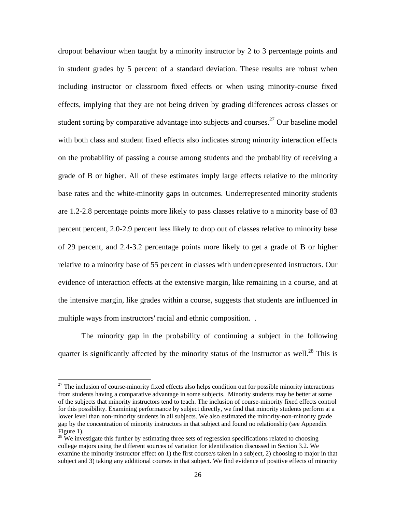dropout behaviour when taught by a minority instructor by 2 to 3 percentage points and in student grades by 5 percent of a standard deviation. These results are robust when including instructor or classroom fixed effects or when using minority-course fixed effects, implying that they are not being driven by grading differences across classes or student sorting by comparative advantage into subjects and courses.<sup>27</sup> Our baseline model with both class and student fixed effects also indicates strong minority interaction effects on the probability of passing a course among students and the probability of receiving a grade of B or higher. All of these estimates imply large effects relative to the minority base rates and the white-minority gaps in outcomes. Underrepresented minority students are 1.2-2.8 percentage points more likely to pass classes relative to a minority base of 83 percent percent, 2.0-2.9 percent less likely to drop out of classes relative to minority base of 29 percent, and 2.4-3.2 percentage points more likely to get a grade of B or higher relative to a minority base of 55 percent in classes with underrepresented instructors. Our evidence of interaction effects at the extensive margin, like remaining in a course, and at the intensive margin, like grades within a course, suggests that students are influenced in multiple ways from instructors' racial and ethnic composition. .

The minority gap in the probability of continuing a subject in the following quarter is significantly affected by the minority status of the instructor as well.<sup>28</sup> This is

<sup>&</sup>lt;sup>27</sup> The inclusion of course-minority fixed effects also helps condition out for possible minority interactions from students having a comparative advantage in some subjects. Minority students may be better at some of the subjects that minority instructors tend to teach. The inclusion of course-minority fixed effects control for this possibility. Examining performance by subject directly, we find that minority students perform at a lower level than non-minority students in all subjects. We also estimated the minority-non-minority grade gap by the concentration of minority instructors in that subject and found no relationship (see Appendix Figure 1).

 $28$  We investigate this further by estimating three sets of regression specifications related to choosing college majors using the different sources of variation for identification discussed in Section 3.2. We examine the minority instructor effect on 1) the first course/s taken in a subject, 2) choosing to major in that subject and 3) taking any additional courses in that subject. We find evidence of positive effects of minority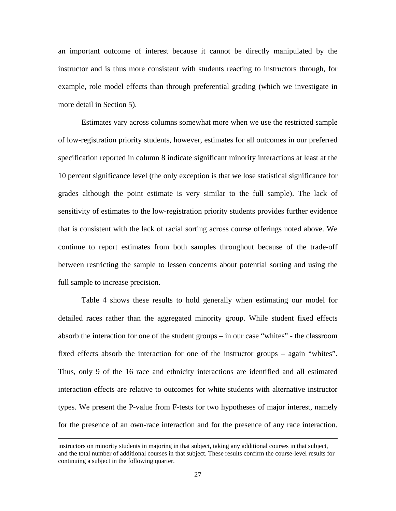an important outcome of interest because it cannot be directly manipulated by the instructor and is thus more consistent with students reacting to instructors through, for example, role model effects than through preferential grading (which we investigate in more detail in Section 5).

Estimates vary across columns somewhat more when we use the restricted sample of low-registration priority students, however, estimates for all outcomes in our preferred specification reported in column 8 indicate significant minority interactions at least at the 10 percent significance level (the only exception is that we lose statistical significance for grades although the point estimate is very similar to the full sample). The lack of sensitivity of estimates to the low-registration priority students provides further evidence that is consistent with the lack of racial sorting across course offerings noted above. We continue to report estimates from both samples throughout because of the trade-off between restricting the sample to lessen concerns about potential sorting and using the full sample to increase precision.

Table 4 shows these results to hold generally when estimating our model for detailed races rather than the aggregated minority group. While student fixed effects absorb the interaction for one of the student groups – in our case "whites" - the classroom fixed effects absorb the interaction for one of the instructor groups – again "whites". Thus, only 9 of the 16 race and ethnicity interactions are identified and all estimated interaction effects are relative to outcomes for white students with alternative instructor types. We present the P-value from F-tests for two hypotheses of major interest, namely for the presence of an own-race interaction and for the presence of any race interaction.

instructors on minority students in majoring in that subject, taking any additional courses in that subject, and the total number of additional courses in that subject. These results confirm the course-level results for continuing a subject in the following quarter.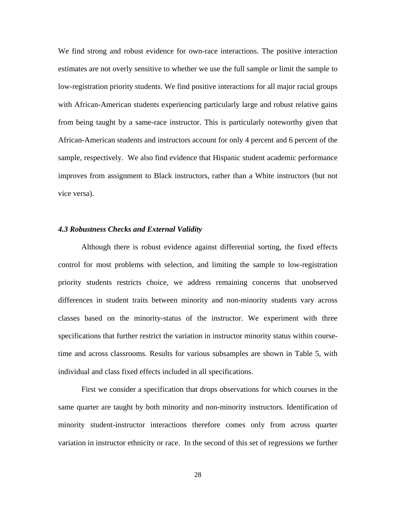We find strong and robust evidence for own-race interactions. The positive interaction estimates are not overly sensitive to whether we use the full sample or limit the sample to low-registration priority students. We find positive interactions for all major racial groups with African-American students experiencing particularly large and robust relative gains from being taught by a same-race instructor. This is particularly noteworthy given that African-American students and instructors account for only 4 percent and 6 percent of the sample, respectively. We also find evidence that Hispanic student academic performance improves from assignment to Black instructors, rather than a White instructors (but not vice versa).

#### *4.3 Robustness Checks and External Validity*

Although there is robust evidence against differential sorting, the fixed effects control for most problems with selection, and limiting the sample to low-registration priority students restricts choice, we address remaining concerns that unobserved differences in student traits between minority and non-minority students vary across classes based on the minority-status of the instructor. We experiment with three specifications that further restrict the variation in instructor minority status within coursetime and across classrooms. Results for various subsamples are shown in Table 5, with individual and class fixed effects included in all specifications.

First we consider a specification that drops observations for which courses in the same quarter are taught by both minority and non-minority instructors. Identification of minority student-instructor interactions therefore comes only from across quarter variation in instructor ethnicity or race. In the second of this set of regressions we further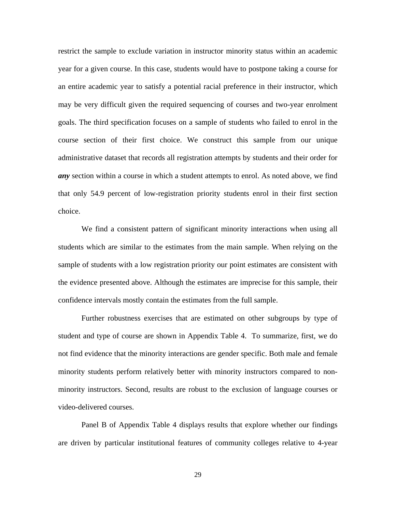restrict the sample to exclude variation in instructor minority status within an academic year for a given course. In this case, students would have to postpone taking a course for an entire academic year to satisfy a potential racial preference in their instructor, which may be very difficult given the required sequencing of courses and two-year enrolment goals. The third specification focuses on a sample of students who failed to enrol in the course section of their first choice. We construct this sample from our unique administrative dataset that records all registration attempts by students and their order for *any* section within a course in which a student attempts to enrol. As noted above, we find that only 54.9 percent of low-registration priority students enrol in their first section choice.

We find a consistent pattern of significant minority interactions when using all students which are similar to the estimates from the main sample. When relying on the sample of students with a low registration priority our point estimates are consistent with the evidence presented above. Although the estimates are imprecise for this sample, their confidence intervals mostly contain the estimates from the full sample.

Further robustness exercises that are estimated on other subgroups by type of student and type of course are shown in Appendix Table 4. To summarize, first, we do not find evidence that the minority interactions are gender specific. Both male and female minority students perform relatively better with minority instructors compared to nonminority instructors. Second, results are robust to the exclusion of language courses or video-delivered courses.

Panel B of Appendix Table 4 displays results that explore whether our findings are driven by particular institutional features of community colleges relative to 4-year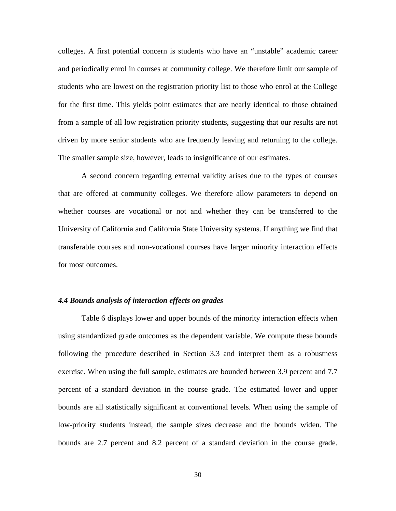colleges. A first potential concern is students who have an "unstable" academic career and periodically enrol in courses at community college. We therefore limit our sample of students who are lowest on the registration priority list to those who enrol at the College for the first time. This yields point estimates that are nearly identical to those obtained from a sample of all low registration priority students, suggesting that our results are not driven by more senior students who are frequently leaving and returning to the college. The smaller sample size, however, leads to insignificance of our estimates.

 A second concern regarding external validity arises due to the types of courses that are offered at community colleges. We therefore allow parameters to depend on whether courses are vocational or not and whether they can be transferred to the University of California and California State University systems. If anything we find that transferable courses and non-vocational courses have larger minority interaction effects for most outcomes.

## *4.4 Bounds analysis of interaction effects on grades*

Table 6 displays lower and upper bounds of the minority interaction effects when using standardized grade outcomes as the dependent variable. We compute these bounds following the procedure described in Section 3.3 and interpret them as a robustness exercise. When using the full sample, estimates are bounded between 3.9 percent and 7.7 percent of a standard deviation in the course grade. The estimated lower and upper bounds are all statistically significant at conventional levels. When using the sample of low-priority students instead, the sample sizes decrease and the bounds widen. The bounds are 2.7 percent and 8.2 percent of a standard deviation in the course grade.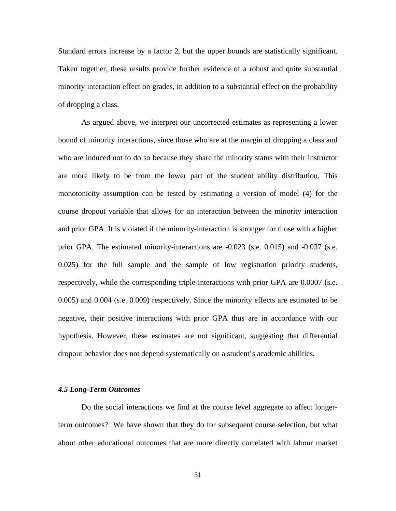Standard errors increase by a factor 2, but the upper bounds are statistically significant. Taken together, these results provide further evidence of a robust and quite substantial minority interaction effect on grades, in addition to a substantial effect on the probability of dropping a class.

 As argued above, we interpret our uncorrected estimates as representing a lower bound of minority interactions, since those who are at the margin of dropping a class and who are induced not to do so because they share the minority status with their instructor are more likely to be from the lower part of the student ability distribution. This monotonicity assumption can be tested by estimating a version of model (4) for the course dropout variable that allows for an interaction between the minority interaction and prior GPA. It is violated if the minority-interaction is stronger for those with a higher prior GPA. The estimated minority-interactions are -0.023 (s.e. 0.015) and -0.037 (s.e. 0.025) for the full sample and the sample of low registration priority students, respectively, while the corresponding triple-interactions with prior GPA are 0.0007 (s.e. 0.005) and 0.004 (s.e. 0.009) respectively. Since the minority effects are estimated to be negative, their positive interactions with prior GPA thus are in accordance with our hypothesis. However, these estimates are not significant, suggesting that differential dropout behavior does not depend systematically on a student's academic abilities.

#### *4.5 Long-Term Outcomes*

 Do the social interactions we find at the course level aggregate to affect longerterm outcomes? We have shown that they do for subsequent course selection, but what about other educational outcomes that are more directly correlated with labour market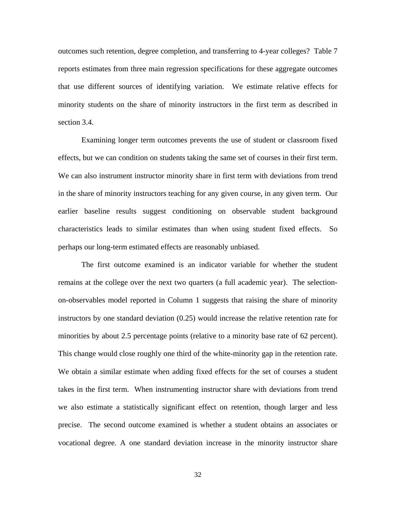outcomes such retention, degree completion, and transferring to 4-year colleges? Table 7 reports estimates from three main regression specifications for these aggregate outcomes that use different sources of identifying variation. We estimate relative effects for minority students on the share of minority instructors in the first term as described in section 3.4.

 Examining longer term outcomes prevents the use of student or classroom fixed effects, but we can condition on students taking the same set of courses in their first term. We can also instrument instructor minority share in first term with deviations from trend in the share of minority instructors teaching for any given course, in any given term. Our earlier baseline results suggest conditioning on observable student background characteristics leads to similar estimates than when using student fixed effects. So perhaps our long-term estimated effects are reasonably unbiased.

 The first outcome examined is an indicator variable for whether the student remains at the college over the next two quarters (a full academic year). The selectionon-observables model reported in Column 1 suggests that raising the share of minority instructors by one standard deviation (0.25) would increase the relative retention rate for minorities by about 2.5 percentage points (relative to a minority base rate of 62 percent). This change would close roughly one third of the white-minority gap in the retention rate. We obtain a similar estimate when adding fixed effects for the set of courses a student takes in the first term. When instrumenting instructor share with deviations from trend we also estimate a statistically significant effect on retention, though larger and less precise. The second outcome examined is whether a student obtains an associates or vocational degree. A one standard deviation increase in the minority instructor share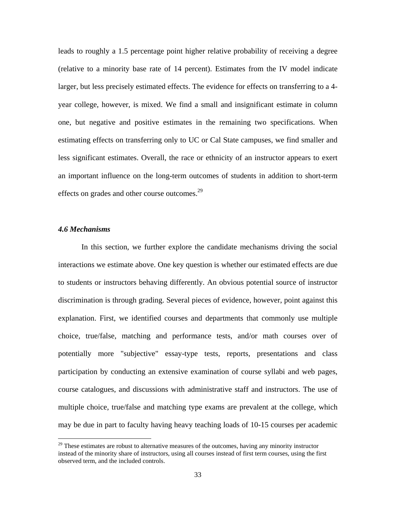leads to roughly a 1.5 percentage point higher relative probability of receiving a degree (relative to a minority base rate of 14 percent). Estimates from the IV model indicate larger, but less precisely estimated effects. The evidence for effects on transferring to a 4 year college, however, is mixed. We find a small and insignificant estimate in column one, but negative and positive estimates in the remaining two specifications. When estimating effects on transferring only to UC or Cal State campuses, we find smaller and less significant estimates. Overall, the race or ethnicity of an instructor appears to exert an important influence on the long-term outcomes of students in addition to short-term effects on grades and other course outcomes.<sup>29</sup>

#### *4.6 Mechanisms*

1

In this section, we further explore the candidate mechanisms driving the social interactions we estimate above. One key question is whether our estimated effects are due to students or instructors behaving differently. An obvious potential source of instructor discrimination is through grading. Several pieces of evidence, however, point against this explanation. First, we identified courses and departments that commonly use multiple choice, true/false, matching and performance tests, and/or math courses over of potentially more "subjective" essay-type tests, reports, presentations and class participation by conducting an extensive examination of course syllabi and web pages, course catalogues, and discussions with administrative staff and instructors. The use of multiple choice, true/false and matching type exams are prevalent at the college, which may be due in part to faculty having heavy teaching loads of 10-15 courses per academic

 $29$  These estimates are robust to alternative measures of the outcomes, having any minority instructor instead of the minority share of instructors, using all courses instead of first term courses, using the first observed term, and the included controls.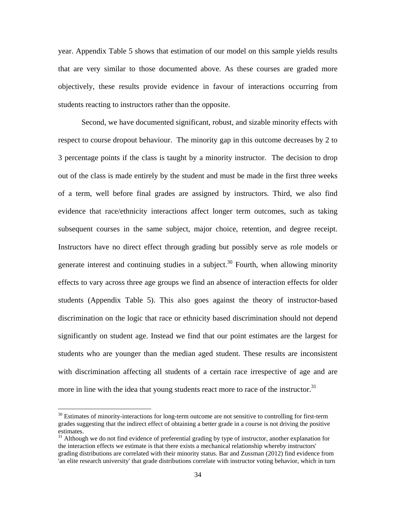year. Appendix Table 5 shows that estimation of our model on this sample yields results that are very similar to those documented above. As these courses are graded more objectively, these results provide evidence in favour of interactions occurring from students reacting to instructors rather than the opposite.

Second, we have documented significant, robust, and sizable minority effects with respect to course dropout behaviour. The minority gap in this outcome decreases by 2 to 3 percentage points if the class is taught by a minority instructor. The decision to drop out of the class is made entirely by the student and must be made in the first three weeks of a term, well before final grades are assigned by instructors. Third, we also find evidence that race/ethnicity interactions affect longer term outcomes, such as taking subsequent courses in the same subject, major choice, retention, and degree receipt. Instructors have no direct effect through grading but possibly serve as role models or generate interest and continuing studies in a subject.<sup>30</sup> Fourth, when allowing minority effects to vary across three age groups we find an absence of interaction effects for older students (Appendix Table 5). This also goes against the theory of instructor-based discrimination on the logic that race or ethnicity based discrimination should not depend significantly on student age. Instead we find that our point estimates are the largest for students who are younger than the median aged student. These results are inconsistent with discrimination affecting all students of a certain race irrespective of age and are more in line with the idea that young students react more to race of the instructor.<sup>31</sup>

<sup>&</sup>lt;sup>30</sup> Estimates of minority-interactions for long-term outcome are not sensitive to controlling for first-term grades suggesting that the indirect effect of obtaining a better grade in a course is not driving the positive estimates.

<sup>&</sup>lt;sup>31</sup> Although we do not find evidence of preferential grading by type of instructor, another explanation for the interaction effects we estimate is that there exists a mechanical relationship whereby instructors' grading distributions are correlated with their minority status. Bar and Zussman (2012) find evidence from 'an elite research university' that grade distributions correlate with instructor voting behavior, which in turn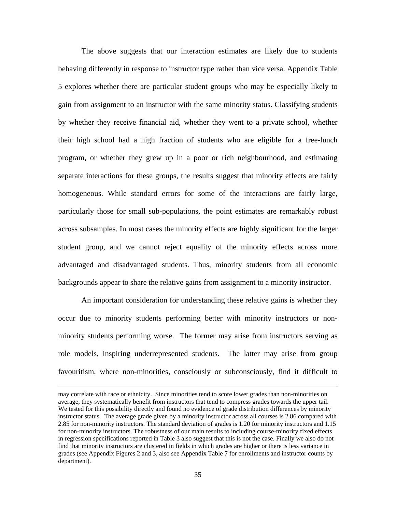The above suggests that our interaction estimates are likely due to students behaving differently in response to instructor type rather than vice versa. Appendix Table 5 explores whether there are particular student groups who may be especially likely to gain from assignment to an instructor with the same minority status. Classifying students by whether they receive financial aid, whether they went to a private school, whether their high school had a high fraction of students who are eligible for a free-lunch program, or whether they grew up in a poor or rich neighbourhood, and estimating separate interactions for these groups, the results suggest that minority effects are fairly homogeneous. While standard errors for some of the interactions are fairly large, particularly those for small sub-populations, the point estimates are remarkably robust across subsamples. In most cases the minority effects are highly significant for the larger student group, and we cannot reject equality of the minority effects across more advantaged and disadvantaged students. Thus, minority students from all economic backgrounds appear to share the relative gains from assignment to a minority instructor.

 An important consideration for understanding these relative gains is whether they occur due to minority students performing better with minority instructors or nonminority students performing worse. The former may arise from instructors serving as role models, inspiring underrepresented students. The latter may arise from group favouritism, where non-minorities, consciously or subconsciously, find it difficult to

may correlate with race or ethnicity. Since minorities tend to score lower grades than non-minorities on average, they systematically benefit from instructors that tend to compress grades towards the upper tail. We tested for this possibility directly and found no evidence of grade distribution differences by minority instructor status. The average grade given by a minority instructor across all courses is 2.86 compared with 2.85 for non-minority instructors. The standard deviation of grades is 1.20 for minority instructors and 1.15 for non-minority instructors. The robustness of our main results to including course-minority fixed effects in regression specifications reported in Table 3 also suggest that this is not the case. Finally we also do not find that minority instructors are clustered in fields in which grades are higher or there is less variance in grades (see Appendix Figures 2 and 3, also see Appendix Table 7 for enrollments and instructor counts by department).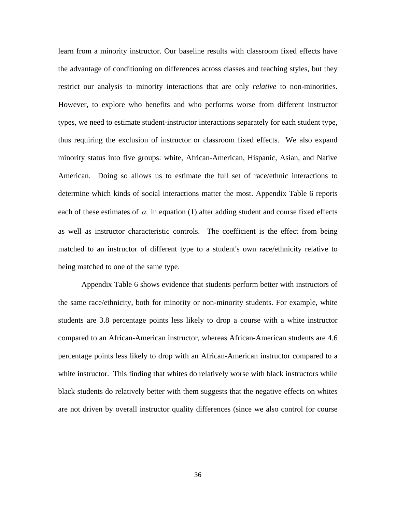learn from a minority instructor. Our baseline results with classroom fixed effects have the advantage of conditioning on differences across classes and teaching styles, but they restrict our analysis to minority interactions that are only *relative* to non-minorities. However, to explore who benefits and who performs worse from different instructor types, we need to estimate student-instructor interactions separately for each student type, thus requiring the exclusion of instructor or classroom fixed effects. We also expand minority status into five groups: white, African-American, Hispanic, Asian, and Native American. Doing so allows us to estimate the full set of race/ethnic interactions to determine which kinds of social interactions matter the most. Appendix Table 6 reports each of these estimates of  $\alpha_i$  in equation (1) after adding student and course fixed effects as well as instructor characteristic controls. The coefficient is the effect from being matched to an instructor of different type to a student's own race/ethnicity relative to being matched to one of the same type.

 Appendix Table 6 shows evidence that students perform better with instructors of the same race/ethnicity, both for minority or non-minority students. For example, white students are 3.8 percentage points less likely to drop a course with a white instructor compared to an African-American instructor, whereas African-American students are 4.6 percentage points less likely to drop with an African-American instructor compared to a white instructor. This finding that whites do relatively worse with black instructors while black students do relatively better with them suggests that the negative effects on whites are not driven by overall instructor quality differences (since we also control for course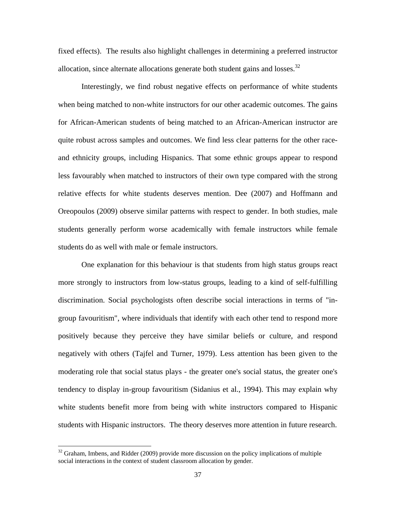fixed effects). The results also highlight challenges in determining a preferred instructor allocation, since alternate allocations generate both student gains and losses. $32$ 

 Interestingly, we find robust negative effects on performance of white students when being matched to non-white instructors for our other academic outcomes. The gains for African-American students of being matched to an African-American instructor are quite robust across samples and outcomes. We find less clear patterns for the other raceand ethnicity groups, including Hispanics. That some ethnic groups appear to respond less favourably when matched to instructors of their own type compared with the strong relative effects for white students deserves mention. Dee (2007) and Hoffmann and Oreopoulos (2009) observe similar patterns with respect to gender. In both studies, male students generally perform worse academically with female instructors while female students do as well with male or female instructors.

 One explanation for this behaviour is that students from high status groups react more strongly to instructors from low-status groups, leading to a kind of self-fulfilling discrimination. Social psychologists often describe social interactions in terms of "ingroup favouritism", where individuals that identify with each other tend to respond more positively because they perceive they have similar beliefs or culture, and respond negatively with others (Tajfel and Turner, 1979). Less attention has been given to the moderating role that social status plays - the greater one's social status, the greater one's tendency to display in-group favouritism (Sidanius et al., 1994). This may explain why white students benefit more from being with white instructors compared to Hispanic students with Hispanic instructors. The theory deserves more attention in future research.

<sup>&</sup>lt;sup>32</sup> Graham, Imbens, and Ridder (2009) provide more discussion on the policy implications of multiple social interactions in the context of student classroom allocation by gender.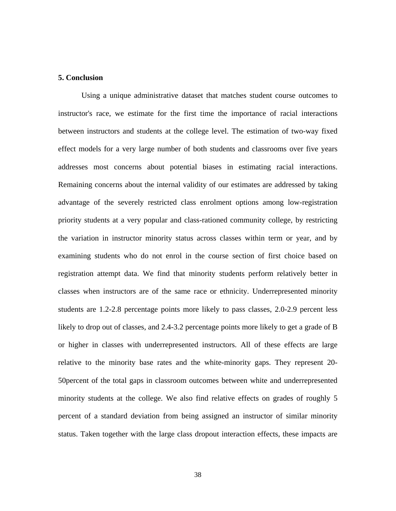### **5. Conclusion**

Using a unique administrative dataset that matches student course outcomes to instructor's race, we estimate for the first time the importance of racial interactions between instructors and students at the college level. The estimation of two-way fixed effect models for a very large number of both students and classrooms over five years addresses most concerns about potential biases in estimating racial interactions. Remaining concerns about the internal validity of our estimates are addressed by taking advantage of the severely restricted class enrolment options among low-registration priority students at a very popular and class-rationed community college, by restricting the variation in instructor minority status across classes within term or year, and by examining students who do not enrol in the course section of first choice based on registration attempt data. We find that minority students perform relatively better in classes when instructors are of the same race or ethnicity. Underrepresented minority students are 1.2-2.8 percentage points more likely to pass classes, 2.0-2.9 percent less likely to drop out of classes, and 2.4-3.2 percentage points more likely to get a grade of B or higher in classes with underrepresented instructors. All of these effects are large relative to the minority base rates and the white-minority gaps. They represent 20- 50percent of the total gaps in classroom outcomes between white and underrepresented minority students at the college. We also find relative effects on grades of roughly 5 percent of a standard deviation from being assigned an instructor of similar minority status. Taken together with the large class dropout interaction effects, these impacts are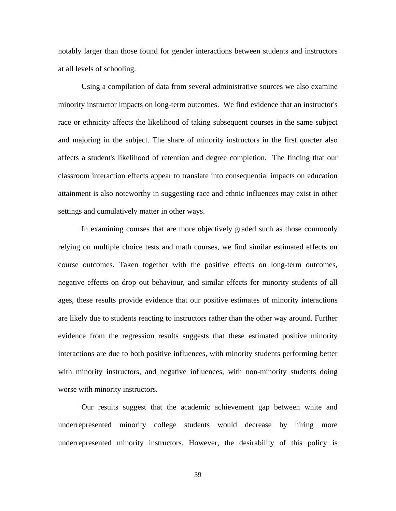notably larger than those found for gender interactions between students and instructors at all levels of schooling.

Using a compilation of data from several administrative sources we also examine minority instructor impacts on long-term outcomes. We find evidence that an instructor's race or ethnicity affects the likelihood of taking subsequent courses in the same subject and majoring in the subject. The share of minority instructors in the first quarter also affects a student's likelihood of retention and degree completion. The finding that our classroom interaction effects appear to translate into consequential impacts on education attainment is also noteworthy in suggesting race and ethnic influences may exist in other settings and cumulatively matter in other ways.

In examining courses that are more objectively graded such as those commonly relying on multiple choice tests and math courses, we find similar estimated effects on course outcomes. Taken together with the positive effects on long-term outcomes, negative effects on drop out behaviour, and similar effects for minority students of all ages, these results provide evidence that our positive estimates of minority interactions are likely due to students reacting to instructors rather than the other way around. Further evidence from the regression results suggests that these estimated positive minority interactions are due to both positive influences, with minority students performing better with minority instructors, and negative influences, with non-minority students doing worse with minority instructors.

Our results suggest that the academic achievement gap between white and underrepresented minority college students would decrease by hiring more underrepresented minority instructors. However, the desirability of this policy is

39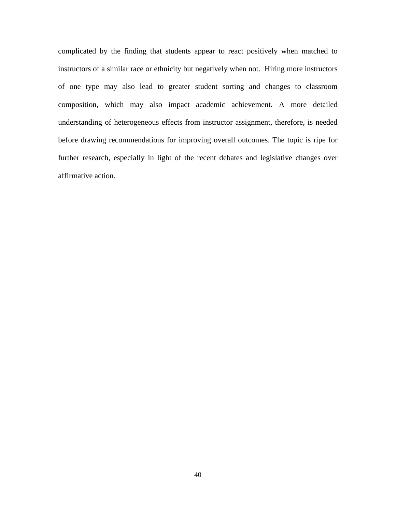complicated by the finding that students appear to react positively when matched to instructors of a similar race or ethnicity but negatively when not. Hiring more instructors of one type may also lead to greater student sorting and changes to classroom composition, which may also impact academic achievement. A more detailed understanding of heterogeneous effects from instructor assignment, therefore, is needed before drawing recommendations for improving overall outcomes. The topic is ripe for further research, especially in light of the recent debates and legislative changes over affirmative action.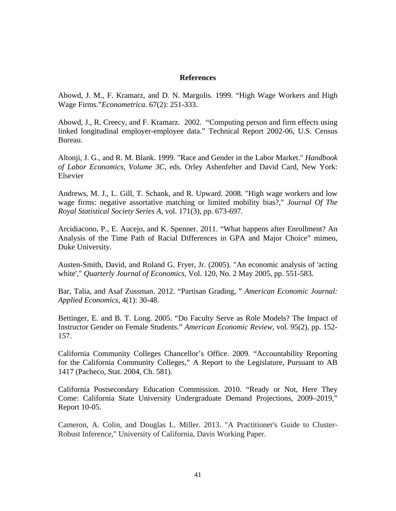### **References**

Abowd, J. M., F. Kramarz, and D. N. Margolis. 1999. "High Wage Workers and High Wage Firms."*Econometrica*. 67(2): 251-333.

Abowd, J., R. Creecy, and F. Kramarz. 2002. "Computing person and firm effects using linked longitudinal employer-employee data." Technical Report 2002-06, U.S. Census Bureau.

Altonji, J. G., and R. M. Blank. 1999. "Race and Gender in the Labor Market." *Handbook of Labor Economics, Volume 3C*, eds. Orley Ashenfelter and David Card, New York: Elsevier

Andrews, M. J., L. Gill, T. Schank, and R. Upward. 2008. "High wage workers and low wage firms: negative assortative matching or limited mobility bias?," *Journal Of The Royal Statistical Society Series A*, vol. 171(3), pp. 673-697.

Arcidiacono, P., E. Aucejo, and K. Spenner. 2011. "What happens after Enrollment? An Analysis of the Time Path of Racial Differences in GPA and Major Choice" mimeo, Duke University.

Austen-Smith, David, and Roland G. Fryer, Jr. (2005). "An economic analysis of 'acting white'," *Quarterly Journal of Economics*, Vol. 120, No. 2 May 2005, pp. 551-583.

Bar, Talia, and Asaf Zussman. 2012. "Partisan Grading, " *American Economic Journal: Applied Economics*, 4(1): 30-48.

Bettinger, E. and B. T. Long. 2005. "Do Faculty Serve as Role Models? The Impact of Instructor Gender on Female Students." *American Economic Review*, vol. 95(2), pp. 152- 157.

California Community Colleges Chancellor's Office. 2009. "Accountability Reporting for the California Community Colleges," A Report to the Legislature, Pursuant to AB 1417 (Pacheco, Stat. 2004, Ch. 581).

California Postsecondary Education Commission. 2010. "Ready or Not, Here They Come: California State University Undergraduate Demand Projections, 2009–2019," Report 10-05.

Cameron, A. Colin, and Douglas L. Miller. 2013. "A Practitioner's Guide to Cluster-Robust Inference," University of California, Davis Working Paper.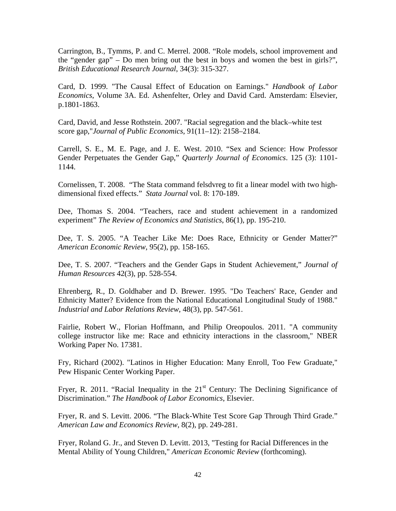Carrington, B., Tymms, P. and C. Merrel. 2008. "Role models, school improvement and the "gender gap" – Do men bring out the best in boys and women the best in girls?", *British Educational Research Journal*, 34(3): 315-327.

Card, D. 1999. "The Causal Effect of Education on Earnings." *Handbook of Labor Economics*, Volume 3A. Ed. Ashenfelter, Orley and David Card. Amsterdam: Elsevier, p.1801-1863.

Card, David, and Jesse Rothstein. 2007. "Racial segregation and the black–white test score gap,"*Journal of Public Economics*, 91(11–12): 2158–2184.

Carrell, S. E., M. E. Page, and J. E. West. 2010. "Sex and Science: How Professor Gender Perpetuates the Gender Gap," *Quarterly Journal of Economics*. 125 (3): 1101- 1144.

Cornelissen, T. 2008. "The Stata command felsdvreg to fit a linear model with two highdimensional fixed effects." *Stata Journal* vol. 8: 170-189.

Dee, Thomas S. 2004. "Teachers, race and student achievement in a randomized experiment" *The Review of Economics and Statistics*, 86(1), pp. 195-210.

Dee, T. S. 2005. "A Teacher Like Me: Does Race, Ethnicity or Gender Matter?" *American Economic Review*, 95(2), pp. 158-165.

Dee, T. S. 2007. "Teachers and the Gender Gaps in Student Achievement," *Journal of Human Resources* 42(3), pp. 528-554.

Ehrenberg, R., D. Goldhaber and D. Brewer. 1995. "Do Teachers' Race, Gender and Ethnicity Matter? Evidence from the National Educational Longitudinal Study of 1988." *Industrial and Labor Relations Review*, 48(3), pp. 547-561.

Fairlie, Robert W., Florian Hoffmann, and Philip Oreopoulos. 2011. "A community college instructor like me: Race and ethnicity interactions in the classroom," NBER Working Paper No. 17381.

Fry, Richard (2002). "Latinos in Higher Education: Many Enroll, Too Few Graduate," Pew Hispanic Center Working Paper.

Fryer, R. 2011. "Racial Inequality in the  $21<sup>st</sup>$  Century: The Declining Significance of Discrimination." *The Handbook of Labor Economics*, Elsevier.

Fryer, R. and S. Levitt. 2006. "The Black-White Test Score Gap Through Third Grade." *American Law and Economics Review*, 8(2), pp. 249-281.

Fryer, Roland G. Jr., and Steven D. Levitt. 2013, "Testing for Racial Differences in the Mental Ability of Young Children," *American Economic Review* (forthcoming).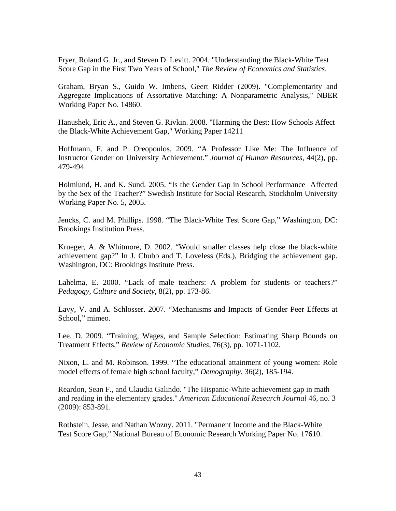Fryer, Roland G. Jr., and Steven D. Levitt. 2004. "Understanding the Black-White Test Score Gap in the First Two Years of School," *The Review of Economics and Statistics*.

Graham, Bryan S., Guido W. Imbens, Geert Ridder (2009). "Complementarity and Aggregate Implications of Assortative Matching: A Nonparametric Analysis," NBER Working Paper No. 14860.

Hanushek, Eric A., and Steven G. Rivkin. 2008. "Harming the Best: How Schools Affect the Black-White Achievement Gap," Working Paper 14211

Hoffmann, F. and P. Oreopoulos. 2009. "A Professor Like Me: The Influence of Instructor Gender on University Achievement." *Journal of Human Resources*, 44(2), pp. 479-494.

Holmlund, H. and K. Sund. 2005. "Is the Gender Gap in School Performance Affected by the Sex of the Teacher?" Swedish Institute for Social Research, Stockholm University Working Paper No. 5, 2005.

Jencks, C. and M. Phillips. 1998. "The Black-White Test Score Gap," Washington, DC: Brookings Institution Press.

Krueger, A. & Whitmore, D. 2002. "Would smaller classes help close the black-white achievement gap?" In J. Chubb and T. Loveless (Eds.), Bridging the achievement gap. Washington, DC: Brookings Institute Press.

Lahelma, E. 2000. "Lack of male teachers: A problem for students or teachers?" *Pedagogy, Culture and Society*, 8(2), pp. 173-86.

Lavy, V. and A. Schlosser. 2007. "Mechanisms and Impacts of Gender Peer Effects at School," mimeo.

Lee, D. 2009. "Training, Wages, and Sample Selection: Estimating Sharp Bounds on Treatment Effects," *Review of Economic Studies*, 76(3), pp. 1071-1102.

Nixon, L. and M. Robinson. 1999. "The educational attainment of young women: Role model effects of female high school faculty," *Demography*, 36(2), 185-194.

Reardon, Sean F., and Claudia Galindo. "The Hispanic-White achievement gap in math and reading in the elementary grades." *American Educational Research Journal* 46, no. 3 (2009): 853-891.

Rothstein, Jesse, and Nathan Wozny. 2011. "Permanent Income and the Black-White Test Score Gap," National Bureau of Economic Research Working Paper No. 17610.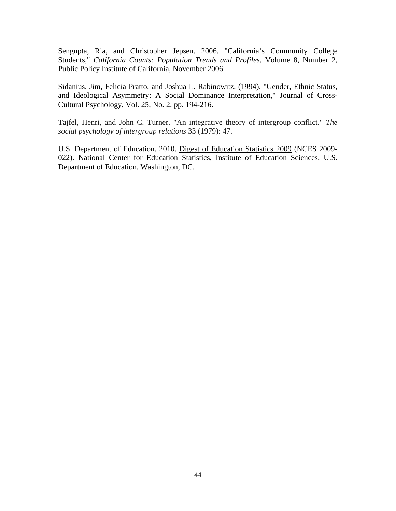Sengupta, Ria, and Christopher Jepsen. 2006. "California's Community College Students," *California Counts: Population Trends and Profiles*, Volume 8, Number 2, Public Policy Institute of California, November 2006.

Sidanius, Jim, Felicia Pratto, and Joshua L. Rabinowitz. (1994). "Gender, Ethnic Status, and Ideological Asymmetry: A Social Dominance Interpretation," Journal of Cross-Cultural Psychology, Vol. 25, No. 2, pp. 194-216.

Tajfel, Henri, and John C. Turner. "An integrative theory of intergroup conflict." *The social psychology of intergroup relations* 33 (1979): 47.

U.S. Department of Education. 2010. Digest of Education Statistics 2009 (NCES 2009- 022). National Center for Education Statistics, Institute of Education Sciences, U.S. Department of Education. Washington, DC.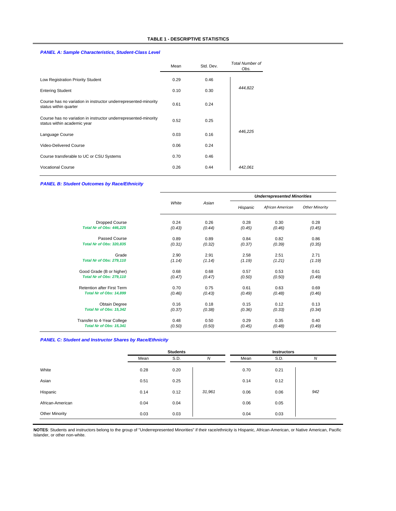#### *PANEL A: Sample Characteristics, Student-Class Level*

|                                                                                                | Mean | Std. Dev. | Total Number of<br>Obs. |
|------------------------------------------------------------------------------------------------|------|-----------|-------------------------|
| Low Registration Priority Student                                                              | 0.29 | 0.46      |                         |
| <b>Entering Student</b>                                                                        | 0.10 | 0.30      | 444,822                 |
| Course has no variation in instructor underrepresented-minority<br>status within quarter       | 0.61 | 0.24      |                         |
| Course has no variation in instructor underrepresented-minority<br>status within academic year | 0.52 | 0.25      |                         |
| Language Course                                                                                | 0.03 | 0.16      | 446.225                 |
| Video-Delivered Course                                                                         | 0.06 | 0.24      |                         |
| Course transferable to UC or CSU Systems                                                       | 0.70 | 0.46      |                         |
| <b>Vocational Course</b>                                                                       | 0.26 | 0.44      | 442.061                 |

#### *PANEL B: Student Outcomes by Race/Ethnicity*

|                                   |        |        | <b>Underrepresented Minorities</b> |                  |                       |  |  |
|-----------------------------------|--------|--------|------------------------------------|------------------|-----------------------|--|--|
|                                   | White  | Asian  | Hispanic                           | African American | <b>Other Minority</b> |  |  |
| <b>Dropped Course</b>             | 0.24   | 0.26   | 0.28                               | 0.30             | 0.28                  |  |  |
| Total Nr of Obs: 446.225          | (0.43) | (0.44) | (0.45)                             | (0.46)           | (0.45)                |  |  |
| Passed Course                     | 0.89   | 0.89   | 0.84                               | 0.82             | 0.86                  |  |  |
| <b>Total Nr of Obs: 320,835</b>   | (0.31) | (0.32) | (0.37)                             | (0.39)           | (0.35)                |  |  |
| Grade                             | 2.90   | 2.91   | 2.58                               | 2.51             | 2.71                  |  |  |
| <b>Total Nr of Obs: 279,110</b>   | (1.14) | (1.14) | (1.19)                             | (1.21)           | (1.19)                |  |  |
| Good Grade (B or higher)          | 0.68   | 0.68   | 0.57                               | 0.53             | 0.61                  |  |  |
| <b>Total Nr of Obs: 279,110</b>   | (0.47) | (0.47) | (0.50)                             | (0.50)           | (0.49)                |  |  |
| <b>Retention after First Term</b> | 0.70   | 0.75   | 0.61                               | 0.63             | 0.69                  |  |  |
| Total Nr of Obs: 14,899           | (0.46) | (0.43) | (0.49)                             | (0.48)           | (0.46)                |  |  |
| Obtain Degree                     | 0.16   | 0.18   | 0.15                               | 0.12             | 0.13                  |  |  |
| Total Nr of Obs: 15,342           | (0.37) | (0.38) | (0.36)                             | (0.33)           | (0.34)                |  |  |
| Transfer to 4-Year College        | 0.48   | 0.50   | 0.29                               | 0.35             | 0.40                  |  |  |
| Total Nr of Obs: 15,341           | (0.50) | (0.50) | (0.45)                             | (0.48)           | (0.49)                |  |  |

#### *PANEL C: Student and Instructor Shares by Race/Ethnicity*

|                       | <b>Students</b> |      |        | <b>Instructors</b> |      |     |
|-----------------------|-----------------|------|--------|--------------------|------|-----|
|                       | Mean            | S.D. | N      | Mean               | S.D. | N   |
| White                 | 0.28            | 0.20 |        | 0.70               | 0.21 |     |
| Asian                 | 0.51            | 0.25 |        | 0.14               | 0.12 |     |
| Hispanic              | 0.14            | 0.12 | 31,961 | 0.06               | 0.06 | 942 |
| African-American      | 0.04            | 0.04 |        | 0.06               | 0.05 |     |
| <b>Other Minority</b> | 0.03            | 0.03 |        | 0.04               | 0.03 |     |

**NOTES**: Students and instructors belong to the group of "Underrepresented Minorities" if their race/ethnicity is Hispanic, African-American, or Native American, Pacific Islander, or other non-white.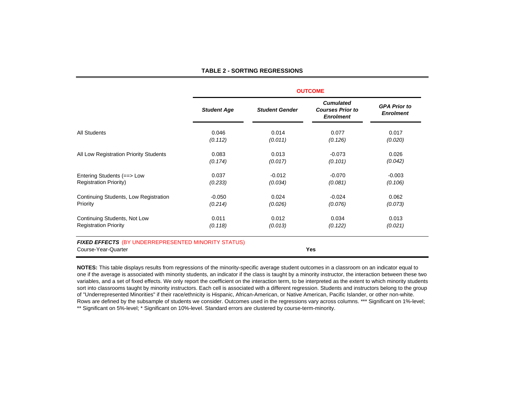#### **TABLE 2 - SORTING REGRESSIONS**

|                                        | <b>OUTCOME</b>     |                       |                                                                 |                                         |  |  |  |  |
|----------------------------------------|--------------------|-----------------------|-----------------------------------------------------------------|-----------------------------------------|--|--|--|--|
|                                        | <b>Student Age</b> | <b>Student Gender</b> | <b>Cumulated</b><br><b>Courses Prior to</b><br><b>Enrolment</b> | <b>GPA Prior to</b><br><b>Enrolment</b> |  |  |  |  |
| <b>All Students</b>                    | 0.046              | 0.014                 | 0.077                                                           | 0.017                                   |  |  |  |  |
|                                        | (0.112)            | (0.011)               | (0.126)                                                         | (0.020)                                 |  |  |  |  |
| All Low Registration Priority Students | 0.083              | 0.013                 | $-0.073$                                                        | 0.026                                   |  |  |  |  |
|                                        | (0.174)            | (0.017)               | (0.101)                                                         | (0.042)                                 |  |  |  |  |
| Entering Students (==> Low             | 0.037              | $-0.012$              | $-0.070$                                                        | $-0.003$                                |  |  |  |  |
| <b>Registration Priority)</b>          | (0.233)            | (0.034)               | (0.081)                                                         | (0.106)                                 |  |  |  |  |
| Continuing Students, Low Registration  | $-0.050$           | 0.024                 | $-0.024$                                                        | 0.062                                   |  |  |  |  |
| Priority                               | (0.214)            | (0.026)               | (0.076)                                                         | (0.073)                                 |  |  |  |  |
| Continuing Students, Not Low           | 0.011              | 0.012                 | 0.034                                                           | 0.013                                   |  |  |  |  |
| <b>Registration Priority</b>           | (0.118)            | (0.013)               | (0.122)                                                         | (0.021)                                 |  |  |  |  |

**NOTES:** This table displays results from regressions of the minority-specific average student outcomes in a classroom on an indicator equal to one if the average is associated with minority students, an indicator if the class is taught by a minority instructor, the interaction between these two variables, and a set of fixed effects. We only report the coefficient on the interaction term, to be interpreted as the extent to which minority students sort into classrooms taught by minority instructors. Each cell is associated with a different regression. Students and instructors belong to the group of "Underrepresented Minorities" if their race/ethnicity is Hispanic, African-American, or Native American, Pacific Islander, or other non-white. Rows are defined by the subsample of students we consider. Outcomes used in the regressions vary across columns. \*\*\* Significant on 1%-level; \*\* Significant on 5%-level; \* Significant on 10%-level. Standard errors are clustered by course-term-minority.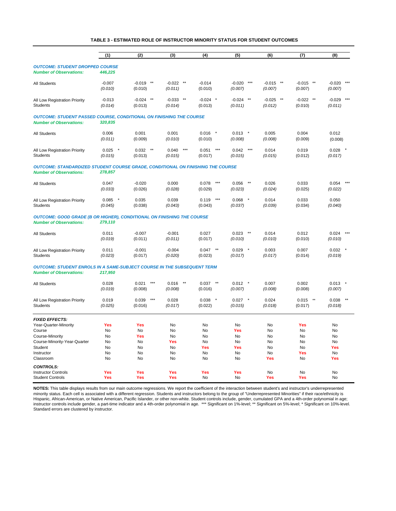#### **TABLE 3 - ESTIMATED ROLE OF INSTRUCTOR MINORITY STATUS FOR STUDENT OUTCOMES**

|                                                                                                                          | (1)                  | (2)                          | (3)                                 | (4)                       | (5)                                   | (6)                          | (7)                                 | (8)                          |
|--------------------------------------------------------------------------------------------------------------------------|----------------------|------------------------------|-------------------------------------|---------------------------|---------------------------------------|------------------------------|-------------------------------------|------------------------------|
| <b>OUTCOME: STUDENT DROPPED COURSE</b>                                                                                   |                      |                              |                                     |                           |                                       |                              |                                     |                              |
| <b>Number of Observations:</b>                                                                                           | 446,225              |                              |                                     |                           |                                       |                              |                                     |                              |
| <b>All Students</b>                                                                                                      | $-0.007$<br>(0.010)  | $-0.019$<br>$***$<br>(0.010) | $-0.022$ **<br>(0.011)              | $-0.014$<br>(0.010)       | $-0.020$<br>$***$<br>(0.007)          | $-0.015$ **<br>(0.007)       | $-0.015$ **<br>(0.007)              | $-0.020$<br>$***$<br>(0.007) |
| All Low Registration Priority<br><b>Students</b>                                                                         | $-0.013$<br>(0.014)  | $-0.024$<br>$***$<br>(0.013) | $***$<br>$-0.033$<br>(0.014)        | $-0.024$<br>(0.013)       | $***$<br>$-0.024$<br>(0.011)          | $***$<br>$-0.025$<br>(0.012) | $-0.022$ **<br>(0.010)              | $***$<br>$-0.029$<br>(0.011) |
| <b>OUTCOME: STUDENT PASSED COURSE, CONDITIONAL ON FINISHING THE COURSE</b><br><b>Number of Observations:</b>             | 320,835              |                              |                                     |                           |                                       |                              |                                     |                              |
| <b>All Students</b>                                                                                                      | 0.006                | 0.001                        | 0.001                               | 0.016                     | 0.013<br>$\pmb{\ast}$                 | 0.005                        | 0.004                               | 0.012                        |
|                                                                                                                          | (0.011)              | (0.009)                      | (0.010)                             | (0.010)                   | (0.008)                               | (0.008)                      | (0.009)                             | (0.008)                      |
| All Low Registration Priority<br><b>Students</b>                                                                         | $0.025$ *<br>(0.015) | $0.032$ **<br>(0.013)        | $***$<br>0.040<br>(0.015)           | $***$<br>0.051<br>(0.017) | $\star\star\star$<br>0.042<br>(0.015) | 0.014<br>(0.015)             | 0.019<br>(0.012)                    | 0.028<br>(0.017)             |
| <b>OUTCOME: STANDARDIZED STUDENT COURSE GRADE, CONDITIONAL ON FINISHING THE COURSE</b><br><b>Number of Observations:</b> | 278,857              |                              |                                     |                           |                                       |                              |                                     |                              |
| All Students                                                                                                             | 0.047<br>(0.033)     | $-0.020$<br>(0.026)          | 0.000<br>(0.028)                    | $***$<br>0.078<br>(0.029) | 0.056<br>$***$<br>(0.023)             | 0.026<br>(0.024)             | 0.033<br>(0.025)                    | $***$<br>0.054<br>(0.022)    |
| All Low Registration Priority                                                                                            | 0.085                | 0.035                        | 0.039                               | $***$<br>0.119            | $^\star$<br>0.068                     | 0.014                        | 0.033                               | 0.050                        |
| <b>Students</b>                                                                                                          | (0.045)              | (0.038)                      | (0.043)                             | (0.043)                   | (0.037)                               | (0.039)                      | (0.034)                             | (0.040)                      |
| <b>OUTCOME: GOOD GRADE (B OR HIGHER), CONDITIONAL ON FINISHING THE COURSE</b><br><b>Number of Observations:</b>          | 279,110              |                              |                                     |                           |                                       |                              |                                     |                              |
| <b>All Students</b>                                                                                                      | 0.011<br>(0.019)     | $-0.007$<br>(0.011)          | $-0.001$<br>(0.011)                 | 0.027<br>(0.017)          | 0.023<br>$***$<br>(0.010)             | 0.014<br>(0.010)             | 0.012<br>(0.010)                    | 0.024<br>$***$<br>(0.010)    |
| All Low Registration Priority<br><b>Students</b>                                                                         | 0.011<br>(0.023)     | $-0.001$<br>(0.017)          | $-0.004$<br>(0.020)                 | 0.047<br>$***$<br>(0.023) | $0.029$ *<br>(0.017)                  | 0.003<br>(0.017)             | 0.007<br>(0.014)                    | 0.032<br>(0.019)             |
| <b>OUTCOME: STUDENT ENROLS IN A SAME-SUBJECT COURSE IN THE SUBSEQUENT TERM</b><br><b>Number of Observations:</b>         | 217,950              |                              |                                     |                           |                                       |                              |                                     |                              |
| <b>All Students</b>                                                                                                      | 0.028<br>(0.019)     | $***$<br>0.021<br>(0.008)    | $^{\star\star}$<br>0.016<br>(0.008) | $***$<br>0.037<br>(0.016) | 0.012<br>$\star$<br>(0.007)           | 0.007<br>(0.008)             | 0.002<br>(0.008)                    | 0.013<br>(0.007)             |
| All Low Registration Priority<br><b>Students</b>                                                                         | 0.019<br>(0.025)     | $***$<br>0.039<br>(0.016)    | 0.028<br>(0.017)                    | 0.038<br>(0.022)          | 0.027<br>$\pmb{\ast}$<br>(0.015)      | 0.024<br>(0.018)             | $^{\star\star}$<br>0.015<br>(0.017) | 0.038<br>(0.018)             |
| <b>FIXED EFFECTS:</b>                                                                                                    |                      |                              |                                     |                           |                                       |                              |                                     |                              |
| Year-Quarter-Minority                                                                                                    | Yes                  | <b>Yes</b>                   | No                                  | No                        | No                                    | No                           | Yes                                 | No                           |
| Course                                                                                                                   | No                   | No                           | <b>No</b>                           | No                        | Yes                                   | No                           | <b>No</b>                           | No                           |
| Course-Minority                                                                                                          | No<br>No             | Yes<br>No                    | <b>No</b><br>Yes                    | No<br>No                  | No<br>No                              | No<br>No                     | No<br>No                            | No<br>No                     |
| Course-Minority-Year-Quarter<br>Student                                                                                  | No                   | No                           | <b>No</b>                           | Yes                       | Yes                                   | <b>No</b>                    | No                                  | Yes                          |
| Instructor                                                                                                               | No                   | No                           | No                                  | No                        | No                                    | <b>No</b>                    | Yes                                 | <b>No</b>                    |
| Classroom                                                                                                                | No                   | No                           | No                                  | No                        | No                                    | Yes                          | No                                  | Yes                          |
| <b>CONTROLS:</b>                                                                                                         |                      |                              |                                     |                           |                                       |                              |                                     |                              |
| <b>Instructor Controls</b>                                                                                               | <b>Yes</b>           | Yes                          | Yes                                 | Yes                       | Yes                                   | No                           | <b>No</b>                           | <b>No</b>                    |
| <b>Student Controls</b>                                                                                                  | Yes                  | Yes                          | Yes                                 | <b>No</b>                 | No                                    | Yes                          | Yes                                 | <b>No</b>                    |

**NOTES:** This table displays results from our main outcome regressions. We report the coefficient of the interaction between student's and instructor's underrepresented minority status. Each cell is associated with a different regression. Students and instructors belong to the group of "Underrepresented Minorities" if their race/ethnicity is Hispanic, African-American, or Native American, Pacific Islander, or other non-white. Student controls include, gender, cumulated GPA and a 4th-order polynomial in age; instructor controls include gender, a part-time indicator and a 4th-order polynomial in age. \*\*\* Significant on 1%-level; \*\* Significant on 5%-level; \* Significant on 10%-level. Standard errors are clustered by instructor.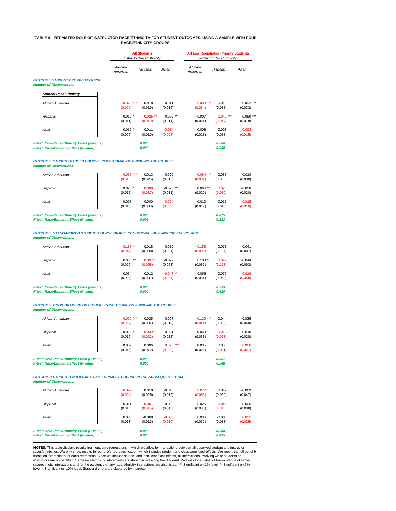#### **TABLE 4 - ESTIMATED ROLE OF INSTRUCTOR RACE/ETHNICITY FOR STUDENT OUTCOMES, USING A SAMPLE WITH FOUR RACE/ETHNICITY-GROUPS**

|                                                                         |                      | <b>All Students</b>       |            |                      | <b>All Low Registration Priority Students</b> |             |  |
|-------------------------------------------------------------------------|----------------------|---------------------------|------------|----------------------|-----------------------------------------------|-------------|--|
|                                                                         |                      | Instructor Race/Ethnicity |            |                      | <b>Instructor Race/Ethnicity</b>              |             |  |
|                                                                         | African-<br>American | Hispanic                  | Asian      | African-<br>American | Hispanic                                      | Asian       |  |
| <b>OUTCOME:STUDENT DROPPED COURSE</b><br><b>Number of Observations:</b> |                      |                           |            |                      |                                               |             |  |
| <b>Student Race/Ethnicity</b>                                           |                      |                           |            |                      |                                               |             |  |
| African-American                                                        | $-0.078$ ***         | $-0.018$                  | 0.011      | $-0.083$ ***         | $-0.018$                                      | $0.092$ *** |  |
|                                                                         | (0.020)              | (0.019)                   | (0.016)    | (0.034)              | (0.038)                                       | (0.033)     |  |
| Hispanic                                                                | $-0.019*$            | $-0.025$ **               | $0.022$ ** | $-0.007$             | $-0.042$ ***                                  | $0.050$ *** |  |
|                                                                         | (0.011)              | (0.013)                   | (0.011)    | (0.024)              | (0.017)                                       | (0.018)     |  |
| Asian                                                                   | $-0.016**$           | $-0.011$                  | $-0.014$ * | 0.008                | $-0.003$                                      | $-0.003$    |  |
|                                                                         | (0.009)              | (0.010)                   | (0.008)    | (0.018)              | (0.018)                                       | (0.015)     |  |
| F-test: Own-Race/Ethnicity Effect (P-value)                             |                      | 0.000                     |            |                      | 0.006                                         |             |  |
| F-test: Race/Ethnicity-Effect (P-value)                                 |                      | 0.000                     |            |                      | 0.000                                         |             |  |

#### *OUTCOME: STUDENT PASSED COURSE, CONDITIONAL ON FINISHING THE COURSE Number of Observations:*

| African-American                                                                       | $0.067***$ | $-0.013$       | $-0.009$    | $0.094***$ | 0.038          | $-0.010$ |
|----------------------------------------------------------------------------------------|------------|----------------|-------------|------------|----------------|----------|
|                                                                                        | (0.016)    | (0.025)        | (0.015)     | (0.031)    | (0.050)        | (0.030)  |
| Hispanic                                                                               | $0.020*$   | 0.009          | $-0.026$ ** | $0.066$ ** | 0.023          | $-0.008$ |
|                                                                                        | (0.012)    | (0.017)        | (0.011)     | (0.029)    | (0.030)        | (0.020)  |
| Asian                                                                                  | 0.007      | 0.000          | 0.004       | 0.010      | 0.017          | 0.015    |
|                                                                                        | (0.010)    | (0.008)        | (0.006)     | (0.019)    | (0.016)        | (0.016)  |
| F-test: Own-Race/Ethnicity Effect (P-value)<br>F-test: Race/Ethnicity-Effect (P-value) |            | 0.000<br>0.001 |             |            | 0.015<br>0.113 |          |

*OUTCOME: STANDARDIZED STUDENT COURSE GRADE, CONDITIONAL ON FINISHING THE COURSE Number of Observations:*

| African-American                                                                       | $0.187**$ | 0.018          | 0.010      | 0.153    | 0.071          | 0.041    |
|----------------------------------------------------------------------------------------|-----------|----------------|------------|----------|----------------|----------|
|                                                                                        | (0.044)   | (0.088)        | (0.031)    | (0.096)  | (0.184)        | (0.087)  |
| Hispanic                                                                               | $0.068**$ | $0.097*$       | $-0.029$   | $0.103*$ | 0.092          | $-0.044$ |
|                                                                                        | (0.029)   | (0.058)        | (0.023)    | (0.062)  | (0.113)        | (0.063)  |
| Asian                                                                                  | 0.054     | 0.012          | $0.047$ ** | 0.066    | 0.072          | 0.019    |
|                                                                                        | (0.036)   | (0.031)        | (0.021)    | (0.054)  | (0.058)        | (0.048)  |
| F-test: Own-Race/Ethnicity Effect (P-value)<br>F-test: Race/Ethnicity-Effect (P-value) |           | 0.000<br>0.000 |            |          | 0.339<br>0.619 |          |

#### *OUTCOME: GOOD GRADE (B OR HIGHER), CONDITIONAL ON FINISHING THE COURSE Number of Observations:*

| African-American                            | $0.090***$ | 0.025    | 0.007        | 0.129<br>*** | 0.044   | 0.025    |
|---------------------------------------------|------------|----------|--------------|--------------|---------|----------|
|                                             | (0.024)    | (0.037)  | (0.018)      | (0.044)      | (0.083) | (0.040)  |
| Hispanic                                    | $0.029*$   | $0.039*$ | 0.001        | $0.063*$     | 0.013   | $-0.010$ |
|                                             | (0.016)    | (0.022)  | (0.012)      | (0.033)      | (0.053) | (0.028)  |
| Asian                                       | 0.009      | 0.006    | 0.028<br>*** | 0.035        | 0.003   | 0.006    |
|                                             | (0.015)    | (0.012)  | (0.009)      | (0.025)      | (0.031) | (0.021)  |
| F-test: Own-Race/Ethnicity Effect (P-value) |            | 0.000    |              |              | 0.031   |          |
| F-test: Race/Ethnicity-Effect (P-value)     |            | 0.000    |              |              | 0.248   |          |

*OUTCOME: STUDENT ENROLS IN A SAME-SUBJECT COURSE IN THE SUBSEQUENT TERM Number of Observations:*

| African-American                            | 0.022   | 0.010    | $-0.013$ | 0.077   | 0.042    | $-0.069$ |
|---------------------------------------------|---------|----------|----------|---------|----------|----------|
|                                             | (0.024) | (0.025)  | (0.019)  | (0.056) | (0.069)  | (0.047)  |
| Hispanic                                    | 0.011   | 0.001    | $-0.009$ | 0.026   | 0.045    | 0.005    |
|                                             | (0.010) | (0.014)  | (0.013)  | (0.035) | (0.043)  | (0.038)  |
| Asian                                       | 0.005   | $-0.008$ | $-0.003$ | 0.036   | $-0.006$ | 0.025    |
|                                             | (0.013) | (0.013)  | (0.010)  | (0.030) | (0.033)  | (0.025)  |
| F-test: Own-Race/Ethnicity Effect (P-value) |         | 0.809    |          |         | 0.288    |          |
| F-test: Race/Ethnicity-Effect (P-value)     |         | 0.938    |          |         | 0.435    |          |

**NOTES:** This table displays results from outcome regressions in which we allow for interactions between all observed student and instructor<br>races/ethnicities. We only show results for our preferred specification, which in identified interactions for each regression. Since we include student and instructor fixed effects, all interactions involving white students or<br>instructors are unidentified. Same race/ethnicity interactions are shown in r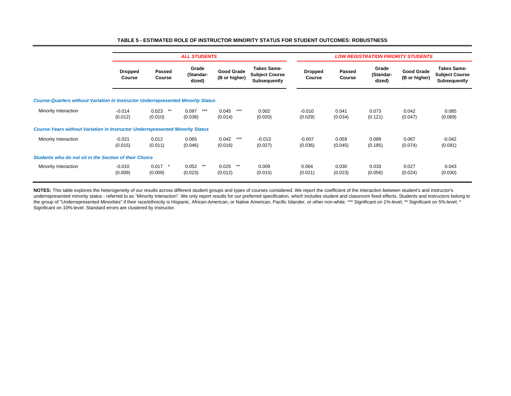|                                                                                         |                          |                           | <b>ALL STUDENTS</b>          |                             |                                                             |                          |                  | <b>LOW REGISTRATION PRIORITY STUDENTS</b> |                             |                                                             |
|-----------------------------------------------------------------------------------------|--------------------------|---------------------------|------------------------------|-----------------------------|-------------------------------------------------------------|--------------------------|------------------|-------------------------------------------|-----------------------------|-------------------------------------------------------------|
|                                                                                         | <b>Dropped</b><br>Course | Passed<br>Course          | Grade<br>(Standar-<br>dized) | Good Grade<br>(B or higher) | <b>Takes Same-</b><br><b>Subject Course</b><br>Subsequently | <b>Dropped</b><br>Course | Passed<br>Course | Grade<br>(Standar-<br>dized)              | Good Grade<br>(B or higher) | <b>Takes Same-</b><br><b>Subject Course</b><br>Subsequently |
| <b>Course-Quarters without Variation in Instructor Underrepresented Minority Status</b> |                          |                           |                              |                             |                                                             |                          |                  |                                           |                             |                                                             |
| Minority Interaction                                                                    | $-0.014$<br>(0.012)      | 0.023<br>$***$<br>(0.010) | $***$<br>0.097<br>(0.038)    | $***$<br>0.045<br>(0.014)   | 0.002<br>(0.020)                                            | $-0.010$<br>(0.029)      | 0.041<br>(0.034) | 0.073<br>(0.121)                          | 0.042<br>(0.047)            | 0.085<br>(0.069)                                            |
| <b>Course-Years without Variation in Instructor Underrepresented Minority Status</b>    |                          |                           |                              |                             |                                                             |                          |                  |                                           |                             |                                                             |
| Minority Interaction                                                                    | $-0.021$<br>(0.015)      | 0.012<br>(0.011)          | 0.065<br>(0.046)             | $***$<br>0.042<br>(0.016)   | $-0.013$<br>(0.027)                                         | $-0.007$<br>(0.036)      | 0.059<br>(0.045) | 0.089<br>(0.185)                          | 0.067<br>(0.074)            | -0.042<br>(0.091)                                           |
| Students who do not sit in the Section of their Choice                                  |                          |                           |                              |                             |                                                             |                          |                  |                                           |                             |                                                             |
| Minority Interaction                                                                    | $-0.010$<br>(0.009)      | 0.017<br>(0.009)          | 0.052<br>$***$<br>(0.023)    | $***$<br>0.025<br>(0.012)   | 0.009<br>(0.015)                                            | 0.004<br>(0.021)         | 0.030<br>(0.023) | 0.033<br>(0.056)                          | 0.027<br>(0.024)            | 0.043<br>(0.030)                                            |

#### **TABLE 5 - ESTIMATED ROLE OF INSTRUCTOR MINORITY STATUS FOR STUDENT OUTCOMES: ROBUSTNESS**

**NOTES:** This table explores the heterogeneity of our results across different student groups and types of courses considered. We report the coefficient of the interaction between student's and instructor's underrepresented minority status - referred to as "Minority Interaction". We only report results for our preferred specification, which includes student and classroom fixed effects. Students and instructors belong to the group of "Underrepresented Minorities" if their race/ethnicity is Hispanic, African-American, or Native American, Pacific Islander, or other non-white. \*\*\* Significant on 1%-level; \*\* Significant on 5%-level; \* Significant on 10%-level. Standard errors are clustered by instructor.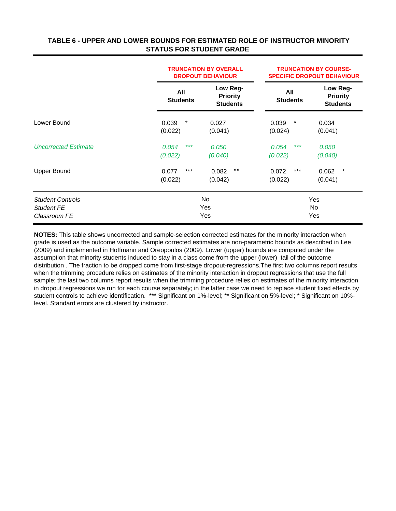## **TABLE 6 - UPPER AND LOWER BOUNDS FOR ESTIMATED ROLE OF INSTRUCTOR MINORITY STATUS FOR STUDENT GRADE**

|                                                              |                            | <b>TRUNCATION BY OVERALL</b><br><b>DROPOUT BEHAVIOUR</b> | <b>TRUNCATION BY COURSE-</b><br><b>SPECIFIC DROPOUT BEHAVIOUR</b> |                                                |  |  |
|--------------------------------------------------------------|----------------------------|----------------------------------------------------------|-------------------------------------------------------------------|------------------------------------------------|--|--|
|                                                              | All<br><b>Students</b>     | Low Reg-<br><b>Priority</b><br><b>Students</b>           | All<br><b>Students</b>                                            | Low Reg-<br><b>Priority</b><br><b>Students</b> |  |  |
| Lower Bound                                                  | $\ast$<br>0.039<br>(0.022) | 0.027<br>(0.041)                                         | 0.039<br>$\ast$<br>(0.024)                                        | 0.034<br>(0.041)                               |  |  |
| <b>Uncorrected Estimate</b>                                  | $***$<br>0.054<br>(0.022)  | 0.050<br>(0.040)                                         | ***<br>0.054<br>(0.022)                                           | 0.050<br>(0.040)                               |  |  |
| <b>Upper Bound</b>                                           | $***$<br>0.077<br>(0.022)  | $***$<br>0.082<br>(0.042)                                | $***$<br>0.072<br>(0.022)                                         | $\ast$<br>0.062<br>(0.041)                     |  |  |
| <b>Student Controls</b><br><b>Student FE</b><br>Classroom FE |                            | No<br>Yes<br>Yes                                         |                                                                   | Yes<br><b>No</b><br>Yes                        |  |  |

**NOTES:** This table shows uncorrected and sample-selection corrected estimates for the minority interaction when grade is used as the outcome variable. Sample corrected estimates are non-parametric bounds as described in Lee (2009) and implemented in Hoffmann and Oreopoulos (2009). Lower (upper) bounds are computed under the assumption that minority students induced to stay in a class come from the upper (lower) tail of the outcome distribution . The fraction to be dropped come from first-stage dropout-regressions.The first two columns report results when the trimming procedure relies on estimates of the minority interaction in dropout regressions that use the full sample; the last two columns report results when the trimming procedure relies on estimates of the minority interaction in dropout regressions we run for each course separately; in the latter case we need to replace student fixed effects by student controls to achieve identification. \*\*\* Significant on 1%-level; \*\* Significant on 5%-level; \* Significant on 10% level. Standard errors are clustered by instructor.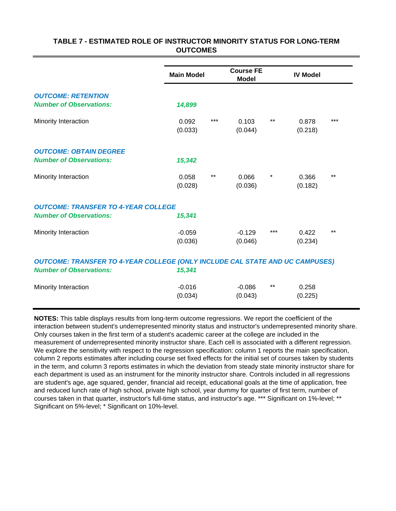## **TABLE 7 - ESTIMATED ROLE OF INSTRUCTOR MINORITY STATUS FOR LONG-TERM OUTCOMES**

|                                                                                                                       | <b>Main Model</b> |       | <b>Course FE</b><br><b>Model</b> |         | <b>IV Model</b> |       |  |
|-----------------------------------------------------------------------------------------------------------------------|-------------------|-------|----------------------------------|---------|-----------------|-------|--|
| <b>OUTCOME: RETENTION</b>                                                                                             |                   |       |                                  |         |                 |       |  |
| <b>Number of Observations:</b>                                                                                        | 14,899            |       |                                  |         |                 |       |  |
| Minority Interaction                                                                                                  | 0.092             | $***$ | 0.103                            | $***$   | 0.878           | $***$ |  |
|                                                                                                                       | (0.033)           |       | (0.044)                          |         | (0.218)         |       |  |
| <b>OUTCOME: OBTAIN DEGREE</b>                                                                                         |                   |       |                                  |         |                 |       |  |
| <b>Number of Observations:</b>                                                                                        | 15,342            |       |                                  |         |                 |       |  |
| Minority Interaction                                                                                                  | 0.058             | $***$ | 0.066                            | $\star$ | 0.366           | $***$ |  |
|                                                                                                                       | (0.028)           |       | (0.036)                          |         | (0.182)         |       |  |
| <b>OUTCOME: TRANSFER TO 4-YEAR COLLEGE</b>                                                                            |                   |       |                                  |         |                 |       |  |
| <b>Number of Observations:</b>                                                                                        | 15,341            |       |                                  |         |                 |       |  |
| Minority Interaction                                                                                                  | $-0.059$          |       | $-0.129$                         | $***$   | 0.422           | $***$ |  |
|                                                                                                                       | (0.036)           |       | (0.046)                          |         | (0.234)         |       |  |
| <b>OUTCOME: TRANSFER TO 4-YEAR COLLEGE (ONLY INCLUDE CAL STATE AND UC CAMPUSES)</b><br><b>Number of Observations:</b> | 15,341            |       |                                  |         |                 |       |  |
| Minority Interaction                                                                                                  | $-0.016$          |       | $-0.086$                         | $***$   | 0.258           |       |  |
|                                                                                                                       | (0.034)           |       | (0.043)                          |         | (0.225)         |       |  |

**NOTES:** This table displays results from long-term outcome regressions. We report the coefficient of the interaction between student's underrepresented minority status and instructor's underrepresented minority share. Only courses taken in the first term of a student's academic career at the college are included in the measurement of underrepresented minority instructor share. Each cell is associated with a different regression. We explore the sensitivity with respect to the regression specification: column 1 reports the main specification, column 2 reports estimates after including course set fixed effects for the initial set of courses taken by students in the term, and column 3 reports estimates in which the deviation from steady state minority instructor share for each department is used as an instrument for the minority instructor share. Controls included in all regressions are student's age, age squared, gender, financial aid receipt, educational goals at the time of application, free and reduced lunch rate of high school, private high school, year dummy for quarter of first term, number of courses taken in that quarter, instructor's full-time status, and instructor's age. \*\*\* Significant on 1%-level; \*\* Significant on 5%-level; \* Significant on 10%-level.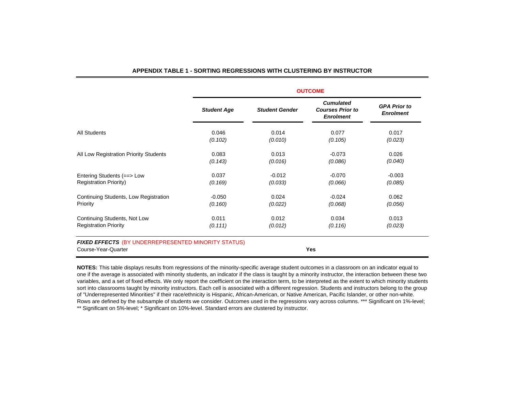|                                        | <b>OUTCOME</b>     |                       |                                                                 |                                         |  |  |  |  |  |
|----------------------------------------|--------------------|-----------------------|-----------------------------------------------------------------|-----------------------------------------|--|--|--|--|--|
|                                        | <b>Student Age</b> | <b>Student Gender</b> | <b>Cumulated</b><br><b>Courses Prior to</b><br><b>Enrolment</b> | <b>GPA Prior to</b><br><b>Enrolment</b> |  |  |  |  |  |
| All Students                           | 0.046              | 0.014                 | 0.077                                                           | 0.017                                   |  |  |  |  |  |
|                                        | (0.102)            | (0.010)               | (0.105)                                                         | (0.023)                                 |  |  |  |  |  |
| All Low Registration Priority Students | 0.083              | 0.013                 | $-0.073$                                                        | 0.026                                   |  |  |  |  |  |
|                                        | (0.143)            | (0.016)               | (0.086)                                                         | (0.040)                                 |  |  |  |  |  |
| Entering Students (==> Low             | 0.037              | $-0.012$              | $-0.070$                                                        | $-0.003$                                |  |  |  |  |  |
| <b>Registration Priority)</b>          | (0.169)            | (0.033)               | (0.066)                                                         | (0.085)                                 |  |  |  |  |  |
| Continuing Students, Low Registration  | $-0.050$           | 0.024                 | $-0.024$                                                        | 0.062                                   |  |  |  |  |  |
| Priority                               | (0.160)            | (0.022)               | (0.068)                                                         | (0.056)                                 |  |  |  |  |  |
| Continuing Students, Not Low           | 0.011              | 0.012                 | 0.034                                                           | 0.013                                   |  |  |  |  |  |
| <b>Registration Priority</b>           | (0.111)            | (0.012)               | (0.116)                                                         | (0.023)                                 |  |  |  |  |  |

#### **APPENDIX TABLE 1 - SORTING REGRESSIONS WITH CLUSTERING BY INSTRUCTOR**

**NOTES:** This table displays results from regressions of the minority-specific average student outcomes in a classroom on an indicator equal to one if the average is associated with minority students, an indicator if the class is taught by a minority instructor, the interaction between these two variables, and a set of fixed effects. We only report the coefficient on the interaction term, to be interpreted as the extent to which minority students sort into classrooms taught by minority instructors. Each cell is associated with a different regression. Students and instructors belong to the group of "Underrepresented Minorities" if their race/ethnicity is Hispanic, African-American, or Native American, Pacific Islander, or other non-white. Rows are defined by the subsample of students we consider. Outcomes used in the regressions vary across columns. \*\*\* Significant on 1%-level; \*\* Significant on 5%-level; \* Significant on 10%-level. Standard errors are clustered by instructor.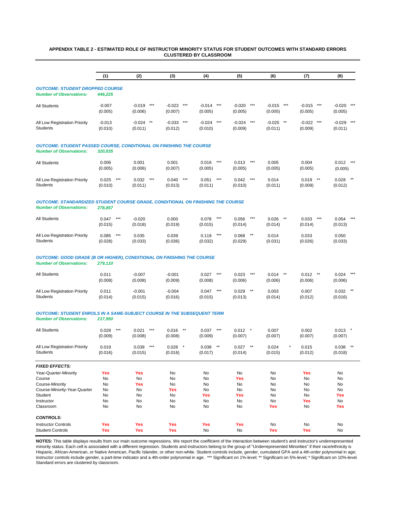#### **APPENDIX TABLE 2 - ESTIMATED ROLE OF INSTRUCTOR MINORITY STATUS FOR STUDENT OUTCOMES WITH STANDARD ERRORS CLUSTERED BY CLASSROOM**

|                                                                                                                          | (1)                                            | (2)                                             | (3)                                            | (4)                                            | (5)                                                    | (6)                                     | (7)                                             | (8)                                             |
|--------------------------------------------------------------------------------------------------------------------------|------------------------------------------------|-------------------------------------------------|------------------------------------------------|------------------------------------------------|--------------------------------------------------------|-----------------------------------------|-------------------------------------------------|-------------------------------------------------|
| <b>OUTCOME: STUDENT DROPPED COURSE</b><br><b>Number of Observations:</b>                                                 | 446,225                                        |                                                 |                                                |                                                |                                                        |                                         |                                                 |                                                 |
| All Students                                                                                                             | $-0.007$<br>(0.005)                            | $-0.019$<br>$***$<br>(0.006)                    | $-0.022$<br>$***$<br>(0.007)                   | $-0.014$<br>(0.005)                            | $***$<br>$-0.020$<br>(0.005)                           | $***$<br>$-0.015$<br>(0.005)            | $***$<br>$-0.015$<br>$***$<br>(0.005)           | $-0.020$<br>$***$<br>(0.005)                    |
| All Low Registration Priority<br><b>Students</b>                                                                         | $-0.013$<br>(0.010)                            | $-0.024$ **<br>(0.011)                          | $-0.033$ ***<br>(0.012)                        | $-0.024$<br>(0.010)                            | $***$<br>$-0.024$<br>(0.009)                           | $***$<br>$-0.025$ **<br>(0.011)         | $***$<br>$-0.022$<br>(0.009)                    | $***$<br>$-0.029$<br>(0.011)                    |
| <b>OUTCOME: STUDENT PASSED COURSE, CONDITIONAL ON FINISHING THE COURSE</b><br><b>Number of Observations:</b>             | 320,835                                        |                                                 |                                                |                                                |                                                        |                                         |                                                 |                                                 |
| All Students                                                                                                             | 0.006<br>(0.005)                               | 0.001<br>(0.006)                                | 0.001<br>(0.007)                               | 0.016<br>(0.005)                               | $***$<br>0.013<br>(0.005)                              | $***$<br>0.005<br>(0.005)               | 0.004<br>(0.005)                                | 0.012<br>$***$<br>(0.005)                       |
| All Low Registration Priority<br><b>Students</b>                                                                         | 0.025<br>(0.010)                               | $***$<br>$***$<br>0.032<br>(0.011)              | 0.040<br>(0.013)                               | $***$<br>0.051<br>(0.011)                      | $***$<br>0.042<br>(0.010)                              | $***$<br>0.014<br>(0.011)               | $^{\star\star}$<br>0.019<br>(0.009)             | 0.028<br>(0.012)                                |
| <b>OUTCOME: STANDARDIZED STUDENT COURSE GRADE, CONDITIONAL ON FINISHING THE COURSE</b><br><b>Number of Observations:</b> | 278,857                                        |                                                 |                                                |                                                |                                                        |                                         |                                                 |                                                 |
| All Students                                                                                                             | 0.047<br>(0.015)                               | $***$<br>$-0.020$<br>(0.018)                    | 0.000<br>(0.019)                               | 0.078<br>(0.015)                               | $***$<br>0.056<br>(0.014)                              | $***$<br>0.026<br>(0.014)               | $***$<br>0.033<br>$***$<br>(0.014)              | $***$<br>0.054<br>(0.013)                       |
| All Low Registration Priority<br><b>Students</b>                                                                         | 0.085<br>(0.028)                               | $***$<br>0.035<br>(0.033)                       | 0.039<br>(0.036)                               | 0.119<br>(0.032)                               | $***$<br>0.068<br>(0.029)                              | $^{\star\star}$<br>0.014<br>(0.031)     | 0.033<br>(0.026)                                | 0.050<br>(0.033)                                |
| <b>OUTCOME: GOOD GRADE (B OR HIGHER), CONDITIONAL ON FINISHING THE COURSE</b><br><b>Number of Observations:</b>          | 279,110                                        |                                                 |                                                |                                                |                                                        |                                         |                                                 |                                                 |
| All Students                                                                                                             | 0.011<br>(0.008)                               | $-0.007$<br>(0.008)                             | $-0.001$<br>(0.009)                            | 0.027<br>(0.008)                               | $***$<br>0.023<br>(0.006)                              | $***$<br>0.014<br>(0.006)               | $***$<br>0.012<br>$***$<br>(0.006)              | 0.024<br>(0.006)                                |
| All Low Registration Priority<br>Students                                                                                | 0.011<br>(0.014)                               | $-0.001$<br>(0.015)                             | $-0.004$<br>(0.016)                            | 0.047<br>(0.015)                               | $***$<br>0.029<br>(0.013)                              | $^{\star\star}$<br>0.003<br>(0.014)     | 0.007<br>(0.012)                                | 0.032<br>(0.016)                                |
| <b>OUTCOME: STUDENT ENROLS IN A SAME-SUBJECT COURSE IN THE SUBSEQUENT TERM</b><br><b>Number of Observations:</b>         | 217,950                                        |                                                 |                                                |                                                |                                                        |                                         |                                                 |                                                 |
| All Students                                                                                                             | $***$<br>0.028<br>(0.009)                      | 0.021<br>$***$<br>(0.008)                       | 0.016<br>$***$<br>(0.008)                      | 0.037<br>(0.009)                               | $***$<br>0.012<br>(0.007)                              | $\rightarrow$<br>0.007<br>(0.007)       | 0.002<br>(0.007)                                | 0.013<br>(0.007)                                |
| All Low Registration Priority<br>Students                                                                                | 0.019<br>(0.016)                               | $***$<br>0.039<br>(0.015)                       | 0.028<br>(0.016)                               | 0.038<br>(0.017)                               | $^{\star\star}$<br>0.027<br>(0.014)                    | $***$<br>0.024<br>(0.015)               | $\star$<br>0.015<br>(0.012)                     | 0.038<br>$***$<br>(0.018)                       |
| <b>FIXED EFFECTS:</b>                                                                                                    |                                                |                                                 |                                                |                                                |                                                        |                                         |                                                 |                                                 |
| Year-Quarter-Minority<br>Course<br>Course-Minority<br>Course-Minority-Year-Quarter<br>Student<br>Instructor<br>Classroom | <b>Yes</b><br>No<br>No<br>No<br>No<br>No<br>No | <b>Yes</b><br>No<br>Yes<br>No<br>No<br>No<br>No | No<br>No<br>No<br><b>Yes</b><br>No<br>No<br>No | No<br>No<br>No<br>No<br><b>Yes</b><br>No<br>No | No<br><b>Yes</b><br>No<br>No<br><b>Yes</b><br>No<br>No | No<br>No<br>No<br>No<br>No<br>No<br>Yes | <b>Yes</b><br>No<br>No<br>No<br>No<br>Yes<br>No | No<br>No<br>No<br>No<br><b>Yes</b><br>No<br>Yes |
| <b>CONTROLS:</b>                                                                                                         |                                                |                                                 |                                                |                                                |                                                        |                                         |                                                 |                                                 |
| <b>Instructor Controls</b><br><b>Student Controls</b>                                                                    | Yes<br>Yes                                     | <b>Yes</b><br>Yes                               | <b>Yes</b><br><b>Yes</b>                       | <b>Yes</b><br>No                               | <b>Yes</b><br>No                                       | No<br>Yes                               | No<br><b>Yes</b>                                | No<br>No                                        |

**NOTES:** This table displays results from our main outcome regressions. We report the coefficient of the interaction between student's and instructor's underrepresented minority status. Each cell is associated with a different regression. Students and instructors belong to the group of "Underrepresented Minorities" if their race/ethnicity is Hispanic, African-American, or Native American, Pacific Islander, or other non-white. Student controls include, gender, cumulated GPA and a 4th-order polynomial in age; instructor controls include gender, a part-time indicator and a 4th-order polynomial in age. \*\*\* Significant on 1%-level; \*\* Significant on 5%-level; \* Significant on 10%-level. Standard errors are clustered by classroom.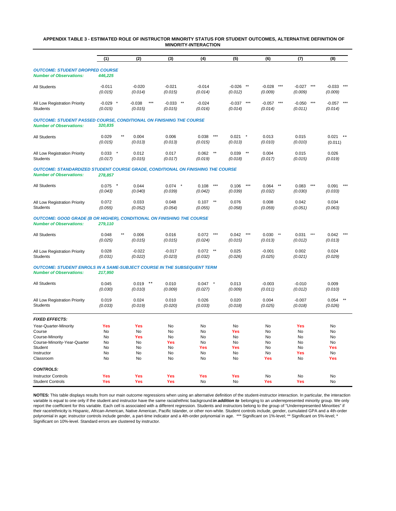#### **APPENDIX TABLE 3 - ESTIMATED ROLE OF INSTRUCTOR MINORITY STATUS FOR STUDENT OUTCOMES, ALTERNATIVE DEFINITION OF MINORITY-INTERACTION**

|                                                                                                                          | (1)                                     | (2)                                                    | (3)                                     | (4)                                             | (5)                                      | (6)                                     | (7)                                      | (8)                                      |
|--------------------------------------------------------------------------------------------------------------------------|-----------------------------------------|--------------------------------------------------------|-----------------------------------------|-------------------------------------------------|------------------------------------------|-----------------------------------------|------------------------------------------|------------------------------------------|
| <b>OUTCOME: STUDENT DROPPED COURSE</b><br><b>Number of Observations:</b>                                                 | 446,225                                 |                                                        |                                         |                                                 |                                          |                                         |                                          |                                          |
| All Students                                                                                                             | $-0.011$<br>(0.015)                     | $-0.020$<br>(0.014)                                    | $-0.021$<br>(0.015)                     | $-0.014$<br>(0.014)                             | $\star\star$<br>$-0.026$<br>(0.012)      | $***$<br>$-0.028$<br>(0.009)            | $***$<br>$-0.027$<br>(0.009)             | $***$<br>$-0.033$<br>(0.009)             |
| All Low Registration Priority<br><b>Students</b>                                                                         | $-0.029$ *<br>(0.015)                   | $-0.038$<br>$***$<br>(0.015)                           | $***$<br>$-0.033$<br>(0.015)            | $-0.024$<br>(0.016)                             | $***$<br>$-0.037$<br>(0.014)             | $***$<br>$-0.057$<br>(0.014)            | $***$<br>$-0.050$<br>(0.011)             | $-0.057$<br>$***$<br>(0.014)             |
| <b>OUTCOME: STUDENT PASSED COURSE, CONDITIONAL ON FINISHING THE COURSE</b><br><b>Number of Observations:</b>             | 320,835                                 |                                                        |                                         |                                                 |                                          |                                         |                                          |                                          |
| All Students                                                                                                             | $\star\star$<br>0.029<br>(0.015)        | 0.004<br>(0.013)                                       | 0.006<br>(0.013)                        | $***$<br>0.038<br>(0.015)                       | 0.021<br>$\ast$<br>(0.013)               | 0.013<br>(0.010)                        | 0.015<br>(0.010)                         | 0.021<br>**<br>(0.011)                   |
| All Low Registration Priority<br><b>Students</b>                                                                         | 0.033<br>$\pmb{\ast}$<br>(0.017)        | 0.012<br>(0.015)                                       | 0.017<br>(0.017)                        | $\star\star$<br>0.062<br>(0.019)                | $***$<br>0.039<br>(0.018)                | 0.004<br>(0.017)                        | 0.015<br>(0.015)                         | 0.026<br>(0.019)                         |
| <b>OUTCOME: STANDARDIZED STUDENT COURSE GRADE, CONDITIONAL ON FINISHING THE COURSE</b><br><b>Number of Observations:</b> | 278,857                                 |                                                        |                                         |                                                 |                                          |                                         |                                          |                                          |
| All Students                                                                                                             | $0.075$ *<br>(0.043)                    | 0.044<br>(0.040)                                       | 0.074<br>(0.039)                        | $***$<br>0.108<br>(0.042)                       | $***$<br>0.106<br>(0.039)                | 0.064<br>$***$<br>(0.032)               | $***$<br>0.083<br>(0.030)                | 0.091<br>(0.033)                         |
| All Low Registration Priority<br>Students                                                                                | 0.072<br>(0.055)                        | 0.033<br>(0.052)                                       | 0.048<br>(0.054)                        | $***$<br>0.107<br>(0.055)                       | 0.076<br>(0.058)                         | 0.008<br>(0.059)                        | 0.042<br>(0.051)                         | 0.034<br>(0.063)                         |
| <b>OUTCOME: GOOD GRADE (B OR HIGHER), CONDITIONAL ON FINISHING THE COURSE</b><br><b>Number of Observations:</b>          | 279,110                                 |                                                        |                                         |                                                 |                                          |                                         |                                          |                                          |
| All Students                                                                                                             | $\star\star$<br>0.048<br>(0.025)        | 0.006<br>(0.015)                                       | 0.016<br>(0.015)                        | $***$<br>0.072<br>(0.024)                       | 0.042<br>$***$<br>(0.015)                | $\star\star$<br>0.030<br>(0.013)        | $***$<br>0.031<br>(0.012)                | 0.042<br>(0.013)                         |
| All Low Registration Priority<br><b>Students</b>                                                                         | 0.028<br>(0.031)                        | $-0.022$<br>(0.022)                                    | $-0.017$<br>(0.023)                     | $^{\star\star}$<br>0.072<br>(0.032)             | 0.025<br>(0.026)                         | $-0.001$<br>(0.025)                     | 0.002<br>(0.021)                         | 0.024<br>(0.029)                         |
| <b>OUTCOME: STUDENT ENROLS IN A SAME-SUBJECT COURSE IN THE SUBSEQUENT TERM</b><br><b>Number of Observations:</b>         | 217,950                                 |                                                        |                                         |                                                 |                                          |                                         |                                          |                                          |
| All Students                                                                                                             | 0.045<br>(0.030)                        | $***$<br>0.019<br>(0.010)                              | 0.010<br>(0.009)                        | 0.047<br>(0.027)                                | 0.013<br>(0.009)                         | $-0.003$<br>(0.011)                     | $-0.010$<br>(0.012)                      | 0.009<br>(0.010)                         |
| All Low Registration Priority<br><b>Students</b>                                                                         | 0.019<br>(0.033)                        | 0.024<br>(0.019)                                       | 0.010<br>(0.020)                        | 0.026<br>(0.033)                                | 0.020<br>(0.018)                         | 0.004<br>(0.025)                        | $-0.007$<br>(0.018)                      | 0.054<br>(0.026)                         |
| <b>FIXED EFFECTS:</b>                                                                                                    |                                         |                                                        |                                         |                                                 |                                          |                                         |                                          |                                          |
| Year-Quarter-Minority<br>Course<br>Course-Minority<br>Course-Minority-Year-Quarter<br>Student<br>Instructor<br>Classroom | Yes<br>No<br>No<br>No<br>No<br>No<br>No | <b>Yes</b><br><b>No</b><br>Yes<br>No<br>No<br>No<br>No | No<br>No<br>No<br>Yes<br>No<br>No<br>No | No<br>No<br><b>No</b><br>No.<br>Yes<br>No<br>No | No<br>Yes<br>No<br>No<br>Yes<br>No<br>No | No<br>No<br>No<br>No<br>No<br>No<br>Yes | Yes<br>No<br>No<br>No<br>No<br>Yes<br>No | No<br>No<br>No<br>No<br>Yes<br>No<br>Yes |
| <b>CONTROLS:</b>                                                                                                         |                                         |                                                        |                                         |                                                 |                                          |                                         |                                          |                                          |
| <b>Instructor Controls</b><br><b>Student Controls</b>                                                                    | Yes<br>Yes                              | <b>Yes</b><br>Yes                                      | <b>Yes</b><br>Yes                       | Yes<br>No                                       | Yes<br>No                                | <b>No</b><br>Yes                        | No<br>Yes                                | <b>No</b><br><b>No</b>                   |

**NOTES:** This table displays results from our main outcome regressions when using an alternative definition of the student-instructor interaction. In particular, the interaction variable is equal to one only if the student and instructor have the same racial/ethnic background *in addition to* belonging to an underrepresented minority group. We only report the coefficient for this variable. Each cell is associated with a different regression. Students and instructors belong to the group of "Underrepresented Minorities" if their race/ethnicity is Hispanic, African-American, Native American, Pacific Islander, or other non-white. Student controls include, gender, cumulated GPA and a 4th-order polynomial in age; instructor controls include gender, a part-time indicator and a 4th-order polynomial in age. \*\*\* Significant on 1%-level; \*\* Significant on 5%-level; \* Significant on 10%-level. Standard errors are clustered by instructor.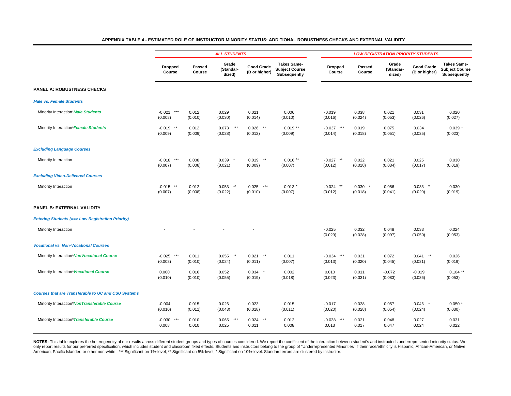|                                                            |                            | <b>ALL STUDENTS</b>     |                              |                                    |                                                             |                             | <b>LOW REGISTRATION PRIORITY STUDENTS</b> |                              |                             |                                                             |  |
|------------------------------------------------------------|----------------------------|-------------------------|------------------------------|------------------------------------|-------------------------------------------------------------|-----------------------------|-------------------------------------------|------------------------------|-----------------------------|-------------------------------------------------------------|--|
|                                                            | <b>Dropped</b><br>Course   | <b>Passed</b><br>Course | Grade<br>(Standar-<br>dized) | <b>Good Grade</b><br>(B or higher) | <b>Takes Same-</b><br><b>Subject Course</b><br>Subsequently | <b>Dropped</b><br>Course    | <b>Passed</b><br>Course                   | Grade<br>(Standar-<br>dized) | Good Grade<br>(B or higher) | <b>Takes Same-</b><br><b>Subject Course</b><br>Subsequently |  |
| <b>PANEL A: ROBUSTNESS CHECKS</b>                          |                            |                         |                              |                                    |                                                             |                             |                                           |                              |                             |                                                             |  |
| <b>Male vs. Female Students</b>                            |                            |                         |                              |                                    |                                                             |                             |                                           |                              |                             |                                                             |  |
| Minority Interaction*Male Students                         | ***<br>$-0.021$<br>(0.008) | 0.012<br>(0.010)        | 0.029<br>(0.030)             | 0.021<br>(0.014)                   | 0.006<br>(0.010)                                            | $-0.019$<br>(0.016)         | 0.038<br>(0.024)                          | 0.021<br>(0.053)             | 0.031<br>(0.026)            | 0.020<br>(0.027)                                            |  |
| Minority Interaction*Female Students                       | $-0.019$ **<br>(0.009)     | 0.012<br>(0.009)        | $0.073$ ***<br>(0.028)       | $0.026$ **<br>(0.012)              | $0.019$ **<br>(0.009)                                       | $-0.037$ ***<br>(0.014)     | 0.019<br>(0.018)                          | 0.075<br>(0.051)             | 0.034<br>(0.025)            | $0.039*$<br>(0.023)                                         |  |
| <b>Excluding Language Courses</b>                          |                            |                         |                              |                                    |                                                             |                             |                                           |                              |                             |                                                             |  |
| Minority Interaction                                       | ***<br>$-0.018$<br>(0.007) | 0.008<br>(0.008)        | 0.039<br>- 8<br>(0.021)      | $0.019$ **<br>(0.009)              | $0.016$ **<br>(0.007)                                       | $-0.027$ **<br>(0.012)      | 0.022<br>(0.018)                          | 0.021<br>(0.034)             | 0.025<br>(0.017)            | 0.030<br>(0.019)                                            |  |
| <b>Excluding Video-Delivered Courses</b>                   |                            |                         |                              |                                    |                                                             |                             |                                           |                              |                             |                                                             |  |
| Minority Interaction                                       | $-0.015$ **<br>(0.007)     | 0.012<br>(0.008)        | 0.053<br>$**$<br>(0.022)     | 0.025<br>***<br>(0.010)            | $0.013*$<br>(0.007)                                         | $-0.024$<br>$**$<br>(0.012) | 0.030<br>$\star$<br>(0.018)               | 0.056<br>(0.041)             | 0.033<br>(0.020)            | 0.030<br>(0.019)                                            |  |
| PANEL B: EXTERNAL VALIDITY                                 |                            |                         |                              |                                    |                                                             |                             |                                           |                              |                             |                                                             |  |
| <b>Entering Students (=&gt; Low Registration Priority)</b> |                            |                         |                              |                                    |                                                             |                             |                                           |                              |                             |                                                             |  |
| Minority Interaction                                       |                            |                         |                              |                                    |                                                             | $-0.025$<br>(0.029)         | 0.032<br>(0.028)                          | 0.048<br>(0.097)             | 0.033<br>(0.050)            | 0.024<br>(0.053)                                            |  |
| <b>Vocational vs. Non-Vocational Courses</b>               |                            |                         |                              |                                    |                                                             |                             |                                           |                              |                             |                                                             |  |
| Minority Interaction*NonVocational Course                  | ***<br>$-0.025$<br>(0.008) | 0.011<br>(0.010)        | **<br>0.055<br>(0.024)       | $**$<br>0.021<br>(0.011)           | 0.011<br>(0.007)                                            | ***<br>$-0.034$<br>(0.013)  | 0.031<br>(0.020)                          | 0.072<br>(0.045)             | **<br>0.041<br>(0.021)      | 0.026<br>(0.019)                                            |  |
| Minority Interaction* Vocational Course                    | 0.000<br>(0.010)           | 0.016<br>(0.010)        | 0.052<br>(0.055)             | $0.034$ *<br>(0.019)               | 0.002<br>(0.018)                                            | 0.010<br>(0.023)            | 0.011<br>(0.031)                          | $-0.072$<br>(0.083)          | $-0.019$<br>(0.036)         | $0.104$ **<br>(0.053)                                       |  |
| <b>Courses that are Transferable to UC and CSU Systems</b> |                            |                         |                              |                                    |                                                             |                             |                                           |                              |                             |                                                             |  |
| Minority Interaction*NonTransferable Course                | $-0.004$<br>(0.010)        | 0.015<br>(0.011)        | 0.026<br>(0.043)             | 0.023<br>(0.018)                   | 0.015<br>(0.011)                                            | $-0.017$<br>(0.020)         | 0.038<br>(0.028)                          | 0.057<br>(0.054)             | 0.046<br>$\star$<br>(0.024) | $0.050*$<br>(0.030)                                         |  |
| Minority Interaction*Transferable Course                   | ***<br>$-0.030$<br>0.008   | 0.010<br>0.010          | ***<br>0.065<br>0.025        | $**$<br>0.024<br>0.011             | 0.012<br>0.008                                              | ***<br>$-0.038$<br>0.013    | 0.021<br>0.017                            | 0.048<br>0.047               | 0.027<br>0.024              | 0.031<br>0.022                                              |  |
|                                                            |                            |                         |                              |                                    |                                                             |                             |                                           |                              |                             |                                                             |  |

**APPENDIX TABLE 4 - ESTIMATED ROLE OF INSTRUCTOR MINORITY STATUS: ADDITIONAL ROBUSTNESS CHECKS AND EXTERNAL VALIDITY**

NOTES: This table explores the heterogeneity of our results across different student groups and types of courses considered. We report the coefficient of the interaction between student's and instructor's underrepresented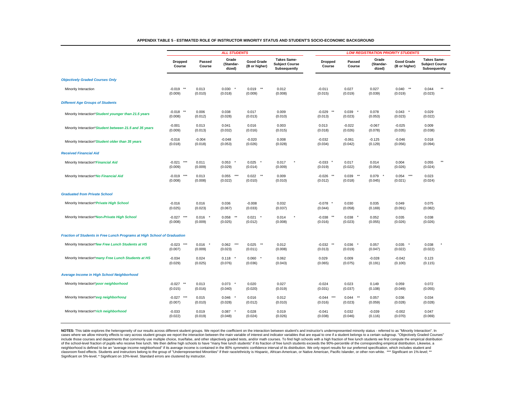|                                                                          | <b>ALL STUDENTS</b>                    |                     |                                       |                                    |                                                             | <b>LOW REGISTRATION PRIORITY STUDENTS</b> |                                     |                              |                                     |                                       |  |
|--------------------------------------------------------------------------|----------------------------------------|---------------------|---------------------------------------|------------------------------------|-------------------------------------------------------------|-------------------------------------------|-------------------------------------|------------------------------|-------------------------------------|---------------------------------------|--|
|                                                                          |                                        |                     |                                       |                                    |                                                             |                                           |                                     | <b>Takes Same-</b>           |                                     |                                       |  |
|                                                                          | <b>Dropped</b><br>Course               | Passed<br>Course    | Grade<br>(Standar-<br>dized)          | <b>Good Grade</b><br>(B or higher) | <b>Takes Same-</b><br><b>Subject Course</b><br>Subsequently | <b>Dropped</b><br>Course                  | Passed<br>Course                    | Grade<br>(Standar-<br>dized) | <b>Good Grade</b><br>(B or higher)  | <b>Subject Course</b><br>Subsequently |  |
| <b>Objectively Graded Courses Only</b>                                   |                                        |                     |                                       |                                    |                                                             |                                           |                                     |                              |                                     |                                       |  |
| Minority Interaction                                                     | $^{\star\star}$<br>$-0.019$<br>(0.009) | 0.013<br>(0.010)    | 0.030<br>(0.018)                      | $\star\star$<br>0.019<br>(0.009)   | 0.012<br>(0.008)                                            | $-0.011$<br>(0.015)                       | 0.027<br>(0.019)                    | 0.027<br>(0.039)             | $^{\star\star}$<br>0.040<br>(0.019) | $\star\star$<br>0.044<br>(0.023)      |  |
| <b>Different Age Groups of Students</b>                                  |                                        |                     |                                       |                                    |                                                             |                                           |                                     |                              |                                     |                                       |  |
| Minority Interaction*Student younger than 21.5 years                     | $^{\star\star}$<br>$-0.018$<br>(0.008) | 0.006<br>(0.012)    | 0.038<br>(0.028)                      | 0.017<br>(0.013)                   | 0.009<br>(0.010)                                            | $-0.029$<br>$**$<br>(0.013)               | 0.039<br>(0.023)                    | 0.078<br>(0.053)             | 0.043<br>(0.023)                    | 0.029<br>(0.022)                      |  |
| Minority Interaction*Student between 21.5 and 35 years                   | $-0.001$<br>(0.009)                    | 0.013<br>(0.013)    | 0.041<br>(0.032)                      | 0.016<br>(0.016)                   | 0.003<br>(0.015)                                            | 0.013<br>(0.018)                          | $-0.022$<br>(0.026)                 | $-0.067$<br>(0.078)          | $-0.025$<br>(0.035)                 | 0.009<br>(0.038)                      |  |
| Minority Interaction*Student older than 35 years                         | $-0.016$<br>(0.018)                    | $-0.004$<br>(0.018) | $-0.048$<br>(0.053)                   | $-0.020$<br>(0.026)                | 0.008<br>(0.028)                                            | $-0.032$<br>(0.034)                       | $-0.061$<br>(0.042)                 | $-0.125$<br>(0.129)          | $-0.046$<br>(0.056)                 | 0.018<br>(0.094)                      |  |
| <b>Received Financial Aid</b>                                            |                                        |                     |                                       |                                    |                                                             |                                           |                                     |                              |                                     |                                       |  |
| Minority Interaction* Financial Aid                                      | $-0.021$<br>$***$<br>(0.009)           | 0.011<br>(0.009)    | 0.053<br>(0.029)                      | 0.025<br>(0.014)                   | 0.017<br>(0.009)                                            | $-0.033$<br>(0.019)                       | 0.017<br>(0.022)                    | 0.014<br>(0.054)             | 0.004<br>(0.026)                    | $\star\star$<br>0.055<br>(0.024)      |  |
| Minority Interaction*No Financial Aid                                    | $***$<br>$-0.019$<br>(0.008)           | 0.013<br>(0.008)    | $\star\star\star$<br>0.055<br>(0.022) | 0.022<br>$***$<br>(0.010)          | 0.009<br>(0.010)                                            | $-0.026$ **<br>(0.012)                    | 0.039<br>$^{\star\star}$<br>(0.018) | 0.079<br>(0.045)             | $***$<br>0.054<br>(0.021)           | 0.023<br>(0.024)                      |  |
| <b>Graduated from Private School</b>                                     |                                        |                     |                                       |                                    |                                                             |                                           |                                     |                              |                                     |                                       |  |
| Minority Interaction* Private High School                                | $-0.016$<br>(0.025)                    | 0.016<br>(0.023)    | 0.036<br>(0.067)                      | $-0.008$<br>(0.033)                | 0.032<br>(0.037)                                            | $-0.078$<br>(0.044)                       | 0.030<br>(0.058)                    | 0.035<br>(0.169)             | 0.049<br>(0.091)                    | 0.075<br>(0.082)                      |  |
| Minority Interaction*Non-Private High School                             | $-0.027$<br>$***$<br>(0.008)           | 0.016<br>(0.009)    | $\star\star$<br>0.058<br>(0.025)      | 0.021<br>(0.012)                   | 0.014<br>(0.008)                                            | $-0.038$<br>$***$<br>(0.016)              | 0.038<br>(0.023)                    | 0.052<br>(0.055)             | 0.035<br>(0.026)                    | 0.038<br>(0.026)                      |  |
| Fraction of Students in Free Lunch Programs at High School of Graduation |                                        |                     |                                       |                                    |                                                             |                                           |                                     |                              |                                     |                                       |  |
| Minority Interaction*few Free Lunch Students at HS                       | $-0.023$<br>$***$<br>(0.007)           | 0.016<br>(0.009)    | 0.062<br>$***$<br>(0.023)             | 0.025<br>$***$<br>(0.011)          | 0.012<br>(0.008)                                            | $-0.032$ **<br>(0.013)                    | 0.036<br>(0.019)                    | 0.057<br>(0.047)             | 0.035<br>(0.022)                    | 0.038<br>(0.022)                      |  |
| Minority Interaction*many Free Lunch Students at HS                      | $-0.034$<br>(0.029)                    | 0.024<br>(0.025)    | 0.118<br>(0.076)                      | 0.060<br>(0.036)                   | 0.062<br>(0.043)                                            | 0.029<br>(0.065)                          | 0.009<br>(0.075)                    | $-0.028$<br>(0.191)          | $-0.042$<br>(0.100)                 | 0.123<br>(0.115)                      |  |
| Average Income in High School Neighborhood                               |                                        |                     |                                       |                                    |                                                             |                                           |                                     |                              |                                     |                                       |  |
| Minority Interaction*poor neighborhood                                   | $-0.027$<br>$***$<br>(0.015)           | 0.013<br>(0.016)    | 0.073<br>$\star$<br>(0.040)           | 0.020<br>(0.020)                   | 0.027<br>(0.019)                                            | $-0.024$<br>(0.031)                       | 0.023<br>(0.037)                    | 0.149<br>(0.108)             | 0.059<br>(0.049)                    | 0.072<br>(0.055)                      |  |
| Minority Interaction*avg neighborhood                                    | $-0.027$<br>$***$<br>(0.007)           | 0.015<br>(0.010)    | 0.046<br>(0.028)                      | 0.016<br>(0.012)                   | 0.012<br>(0.010)                                            | $-0.044$<br>$***$<br>(0.016)              | 0.044<br>$^{\star\star}$<br>(0.023) | 0.057<br>(0.059)             | 0.036<br>(0.028)                    | 0.034<br>(0.028)                      |  |
| Minority Interaction*rich neighborhood                                   | $-0.033$<br>(0.022)                    | 0.019<br>(0.019)    | 0.087<br>(0.048)                      | 0.028<br>(0.024)                   | 0.019<br>(0.026)                                            | $-0.041$<br>(0.038)                       | 0.032<br>(0.046)                    | $-0.039$<br>(0.116)          | $-0.002$<br>(0.070)                 | 0.047<br>(0.069)                      |  |

**APPENDIX TABLE 5 - ESTIMATED ROLE OF INSTRUCTOR MINORITY STATUS AND STUDENT'S SOCIO-ECONOMIC BACKGROUND**

NOTES: This table explores the heterogeneity of our results across different student groups. We report the coefficient on the interaction between student's and instructor's underrepresented minority status - referred to as cases where we allow minority effects to vary across student groups we report the interaction between the main variable of interest and indicator variables that are equal to one if a student belongs to a certain subgroup. include those courses and departments that commonly use multiple choice, true/false, and other objectively graded tests, and/or math courses. To find high schools with a high fraction of free lunch students we first comput of the school-level fraction of pupils who receive free lunch. We then define high schools to have "many free lunch students" if its fraction of free lunch students exceeds the 90%-percentile of the corresponding empirical neighborhood is defined to be an "average income neighborhood" if its average income is contained in the 80% symmetric confidence interval of its distribution. We only report results for our preferred specification, which classroom fixed effects. Students and instructors belong to the group of "Underrepresented Minorities" if their race/ethnicity is Hispanic, African-American, or Native American, Pacific Islander, or other non-white. \*\*\* Si Significant on 5%-level; \* Significant on 10%-level. Standard errors are clustered by instructor.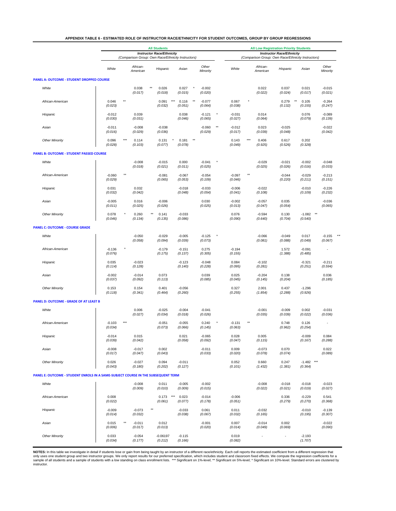|  |  | APPENDIX TABLE 6 - ESTIMATED ROLE OF INSTRUCTOR RACE/ETHNICITY FOR STUDENT OUTCOMES, GROUP BY GROUP REGRESSIONS |  |
|--|--|-----------------------------------------------------------------------------------------------------------------|--|
|--|--|-----------------------------------------------------------------------------------------------------------------|--|

|                                                                                   |                     |                                                    |                      | <b>All Students</b>                 |                     |                                     |              |                                                    | <b>All Low Registration Priority Students</b> |                                  |                            |                     |  |
|-----------------------------------------------------------------------------------|---------------------|----------------------------------------------------|----------------------|-------------------------------------|---------------------|-------------------------------------|--------------|----------------------------------------------------|-----------------------------------------------|----------------------------------|----------------------------|---------------------|--|
|                                                                                   |                     | <b>Instructor Race/Ethnicity</b>                   |                      |                                     |                     |                                     |              | <b>Instructor Race/Ethnicity</b>                   |                                               |                                  |                            |                     |  |
|                                                                                   |                     | (Comparison Group: Own Race/Ethnicity Instructors) |                      |                                     |                     |                                     |              | (Comparison Group: Own Race/Ethnicity Instructors) |                                               |                                  |                            |                     |  |
|                                                                                   | White               |                                                    | African-<br>American | Hispanic                            | Asian               | Other<br>Minority                   |              | White                                              | African-<br>American                          | Hispanic                         | Asian                      | Other<br>Minority   |  |
| <b>PANEL A: OUTCOME - STUDENT DROPPED COURSE</b>                                  |                     |                                                    |                      |                                     |                     |                                     |              |                                                    |                                               |                                  |                            |                     |  |
| White                                                                             |                     |                                                    | 0.038<br>(0.017)     | 0.026<br>(0.018)                    | 0.027<br>(0.015)    | $-0.002$<br>(0.020)                 |              |                                                    | 0.022<br>(0.022)                              | 0.037<br>(0.024)                 | 0.021<br>(0.017)           | $-0.015$<br>(0.021) |  |
| African-American                                                                  | 0.046<br>(0.023)    | $**$                                               |                      | $***$<br>0.091<br>(0.032)           | 0.116<br>(0.051)    | $\star\star$<br>$-0.077$<br>(0.064) |              | 0.067<br>(0.038)                                   |                                               | 0.279<br>$\star\star$<br>(0.132) | 0.105<br>(0.155)           | $-0.264$<br>(0.247) |  |
| Hispanic                                                                          | $-0.012$<br>(0.030) |                                                    | 0.039<br>(0.031)     |                                     | 0.038<br>(0.046)    | $-0.121$<br>(0.065)                 |              | $-0.031$<br>(0.027)                                | 0.014<br>(0.064)                              |                                  | 0.076<br>(0.079)           | $-0.089$<br>(0.139) |  |
| Asian                                                                             | $-0.011$<br>(0.016) |                                                    | $-0.008$<br>(0.029)  | $-0.038$<br>(0.036)                 |                     | $-0.060$<br>(0.029)                 | $\star\star$ | $-0.012$<br>(0.017)                                | 0.023<br>(0.039)                              | $-0.025$<br>(0.048)              |                            | $-0.022$<br>(0.042) |  |
| <b>Other Minority</b>                                                             | 0.096<br>(0.028)    | $***$                                              | 0.114<br>(0.103)     | 0.131<br>$\pmb{\ast}$<br>(0.077)    | 0.181<br>(0.078)    | $\star\star$                        |              | 0.143<br>(0.049)                                   | $***$<br>0.406<br>(0.925)                     | 0.617<br>(0.526)                 | 0.202<br>(0.328)           |                     |  |
| <b>PANEL B: OUTCOME - STUDENT PASSED COURSE</b>                                   |                     |                                                    |                      |                                     |                     |                                     |              |                                                    |                                               |                                  |                            |                     |  |
| White                                                                             |                     |                                                    | $-0.008$<br>(0.018)  | $-0.015$<br>(0.021)                 | 0.000<br>(0.011)    | $-0.041$<br>(0.025)                 | ×            |                                                    | $-0.029$<br>(0.025)                           | $-0.021$<br>(0.026)              | $-0.002$<br>(0.016)        | $-0.048$<br>(0.033) |  |
| African-American                                                                  | $-0.060$<br>(0.029) | *1                                                 |                      | $-0.081$<br>(0.065)                 | $-0.067$<br>(0.053) | $-0.054$<br>(0.109)                 |              | $-0.097$<br>(0.046)                                | $\star$                                       | $-0.044$<br>(0.220)              | $-0.029$<br>(0.211)        | $-0.213$<br>(0.151) |  |
| Hispanic                                                                          | 0.031<br>(0.032)    |                                                    | 0.032<br>(0.042)     |                                     | $-0.018$<br>(0.048) | $-0.033$<br>(0.054)                 |              | $-0.006$<br>(0.041)                                | $-0.022$<br>(0.108)                           |                                  | $-0.010$<br>(0.109)        | $-0.226$<br>(0.232) |  |
| Asian                                                                             | $-0.005$<br>(0.011) |                                                    | 0.016<br>(0.025)     | $-0.006$<br>(0.026)                 |                     | 0.030<br>(0.025)                    |              | $-0.002$<br>(0.013)                                | $-0.057$<br>(0.047)                           | 0.035<br>(0.054)                 |                            | $-0.036$<br>(0.065) |  |
| <b>Other Minority</b>                                                             | 0.078<br>(0.046)    |                                                    | 0.260<br>(0.134)     | $^{\star\star}$<br>0.141<br>(0.135) | $-0.033$<br>(0.086) |                                     |              | 0.076<br>(0.090)                                   | $-0.594$<br>(0.640)                           | 0.130<br>(0.704)                 | $*$<br>$-1.082$<br>(0.540) |                     |  |
| <b>PANEL C: OUTCOME - COURSE GRADE</b>                                            |                     |                                                    |                      |                                     |                     |                                     |              |                                                    |                                               |                                  |                            |                     |  |
| White                                                                             |                     |                                                    | $-0.050$<br>(0.058)  | $-0.029$<br>(0.094)                 | $-0.005$<br>(0.039) | $-0.125$<br>(0.073)                 |              |                                                    | $-0.066$<br>(0.081)                           | $-0.049$<br>(0.088)              | 0.017<br>(0.049)           | $-0.155$<br>(0.067) |  |
| African-American                                                                  | $-0.136$<br>(0.076) |                                                    |                      | $-0.179$<br>(0.175)                 | $-0.151$<br>(0.137) | 0.275<br>(0.305)                    |              | $-0.194$<br>(0.155)                                |                                               | 1.572<br>(1.388)                 | $-0.091$<br>(0.485)        |                     |  |
| Hispanic                                                                          | 0.035<br>(0.114)    |                                                    | $-0.023$<br>(0.128)  |                                     | $-0.123$<br>(0.140) | $-0.048$<br>(0.228)                 |              | 0.084<br>(0.095)                                   | $-0.102$<br>(0.281)                           |                                  | $-0.321$<br>(0.251)        | $-0.211$<br>(0.594) |  |
| Asian                                                                             | $-0.002$<br>(0.037) |                                                    | $-0.014$<br>(0.092)  | 0.073<br>(0.113)                    |                     | 0.039<br>(0.085)                    |              | 0.025<br>(0.045)                                   | $-0.204$<br>(0.145)                           | 0.138<br>(0.204)                 |                            | 0.036<br>(0.185)    |  |
| <b>Other Minority</b>                                                             | 0.153<br>(0.118)    |                                                    | 0.154<br>(0.341)     | 0.401<br>(0.464)                    | $-0.056$<br>(0.260) |                                     |              | 0.327<br>(0.255)                                   | 2.001<br>(1.854)                              | 0.437<br>(2.288)                 | $-1.296$<br>(0.926)        |                     |  |
| PANEL D: OUTCOME - GRADE OF AT LEAST B                                            |                     |                                                    |                      |                                     |                     |                                     |              |                                                    |                                               |                                  |                            |                     |  |
| White                                                                             |                     |                                                    | 0.006<br>(0.027)     | $-0.025$<br>(0.034)                 | $-0.004$<br>(0.018) | $-0.041$<br>(0.026)                 |              |                                                    | $-0.001$<br>(0.035)                           | $-0.009$<br>(0.039)              | 0.002<br>(0.022)           | $-0.031$<br>(0.036) |  |
| African-American                                                                  | $-0.103$<br>(0.034) | $***$                                              |                      | $-0.051$<br>(0.073)                 | $-0.055$<br>(0.066) | 0.240<br>(0.145)                    |              | $-0.131$<br>(0.063)                                | $*$                                           | 0.748<br>(0.962)                 | 0.126<br>(0.254)           |                     |  |
| Hispanic                                                                          | $-0.014$<br>(0.039) |                                                    | 0.015<br>(0.042)     |                                     | 0.021<br>(0.058)    | $-0.065$<br>(0.092)                 |              | 0.028<br>(0.047)                                   | 0.005<br>(0.115)                              |                                  | $-0.009$<br>(0.167)        | 0.084<br>(0.288)    |  |
| Asian                                                                             | $-0.008$<br>(0.017) |                                                    | $-0.017$<br>(0.047)  | 0.002<br>(0.043)                    |                     | $-0.011$<br>(0.033)                 |              | 0.009<br>(0.020)                                   | $-0.073$<br>(0.078)                           | 0.070<br>(0.074)                 |                            | 0.022<br>(0.089)    |  |
| <b>Other Minority</b>                                                             | 0.026<br>(0.043)    |                                                    | $-0.027$<br>(0.180)  | 0.094<br>(0.202)                    | $-0.011$<br>(0.127) |                                     |              | 0.052<br>(0.101)                                   | 0.660<br>(1.432)                              | 0.247<br>(1.381)                 | $-1.482$ ***<br>(0.364)    |                     |  |
| PANEL E: OUTCOME - STUDENT ENROLS IN A SAME-SUBJECT COURSE IN THE SUBSEQUENT TERM |                     |                                                    |                      |                                     |                     |                                     |              |                                                    |                                               |                                  |                            |                     |  |
| White                                                                             |                     |                                                    | $-0.008$<br>(0.009)  | 0.011<br>(0.010)                    | $-0.005$<br>(0.009) | $-0.002$<br>(0.015)                 |              |                                                    | $-0.008$<br>(0.022)                           | $-0.018$<br>(0.021)              | $-0.018$<br>(0.019)        | $-0.023$<br>(0.027) |  |
| African-American                                                                  | 0.008<br>(0.022)    |                                                    |                      | $***$<br>0.173<br>(0.061)           | 0.023<br>(0.077)    | $-0.014$<br>(0.178)                 |              | $-0.006$<br>(0.051)                                |                                               | 0.336<br>(0.279)                 | $-0.229$<br>(0.270)        | 0.541<br>(0.368)    |  |
| Hispanic                                                                          | $-0.009$<br>(0.014) |                                                    | $-0.073$<br>(0.032)  | $***$                               | $-0.033$<br>(0.038) | 0.061<br>(0.067)                    |              | 0.011<br>(0.032)                                   | $-0.032$<br>(0.165)                           |                                  | $-0.010$<br>(0.195)        | $-0.139$<br>(0.307) |  |
| Asian                                                                             | 0.015<br>(0.006)    | $\star\star$                                       | $-0.011$<br>(0.017)  | 0.012<br>(0.013)                    |                     | $-0.001$<br>(0.020)                 |              | 0.007<br>(0.014)                                   | $-0.014$<br>(0.049)                           | 0.002<br>(0.069)                 |                            | $-0.022$<br>(0.090) |  |
| <b>Other Minority</b>                                                             | 0.033<br>(0.034)    |                                                    | $-0.054$<br>(0.177)  | $-0.06197$<br>(0.212)               | $-0.115$<br>(0.166) |                                     |              | 0.019<br>(0.082)                                   |                                               | $\overline{a}$                   | $-2.193$<br>(1.707)        |                     |  |

NOTES: In this table we investigate in detail if students lose or gain from being taught by an instructor of a different race/ethnicity. Each cell reports the estimated coefficient from a different regression that<br>sample o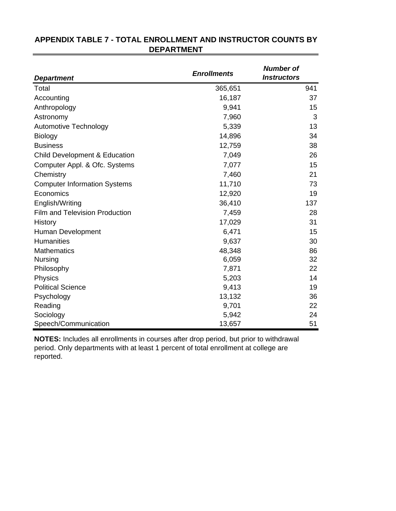| <b>Department</b>                        | <b>Enrollments</b> | <b>Number of</b><br><b>Instructors</b> |
|------------------------------------------|--------------------|----------------------------------------|
| Total                                    | 365,651            | 941                                    |
| Accounting                               | 16,187             | 37                                     |
| Anthropology                             | 9,941              | 15                                     |
| Astronomy                                | 7,960              | 3                                      |
| <b>Automotive Technology</b>             | 5,339              | 13                                     |
| <b>Biology</b>                           | 14,896             | 34                                     |
| <b>Business</b>                          | 12,759             | 38                                     |
| <b>Child Development &amp; Education</b> | 7,049              | 26                                     |
| Computer Appl. & Ofc. Systems            | 7,077              | 15                                     |
| Chemistry                                | 7,460              | 21                                     |
| <b>Computer Information Systems</b>      | 11,710             | 73                                     |
| Economics                                | 12,920             | 19                                     |
| English/Writing                          | 36,410             | 137                                    |
| <b>Film and Television Production</b>    | 7,459              | 28                                     |
| History                                  | 17,029             | 31                                     |
| Human Development                        | 6,471              | 15                                     |
| <b>Humanities</b>                        | 9,637              | 30                                     |
| <b>Mathematics</b>                       | 48,348             | 86                                     |
| <b>Nursing</b>                           | 6,059              | 32                                     |
| Philosophy                               | 7,871              | 22                                     |
| Physics                                  | 5,203              | 14                                     |
| <b>Political Science</b>                 | 9,413              | 19                                     |
| Psychology                               | 13,132             | 36                                     |
| Reading                                  | 9,701              | 22                                     |
| Sociology                                | 5,942              | 24                                     |
| Speech/Communication                     | 13,657             | 51                                     |

# **APPENDIX TABLE 7 - TOTAL ENROLLMENT AND INSTRUCTOR COUNTS BY DEPARTMENT**

**NOTES:** Includes all enrollments in courses after drop period, but prior to withdrawal period. Only departments with at least 1 percent of total enrollment at college are reported.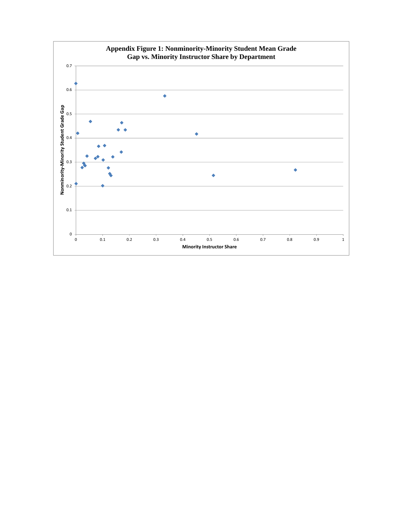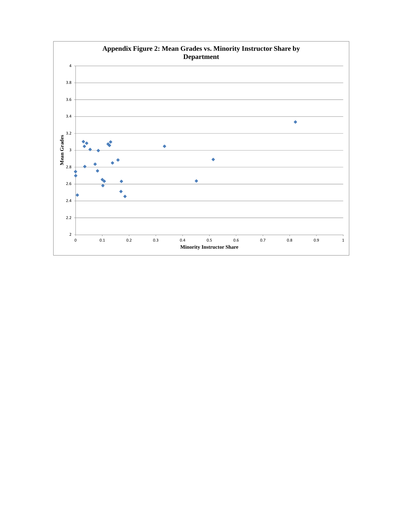